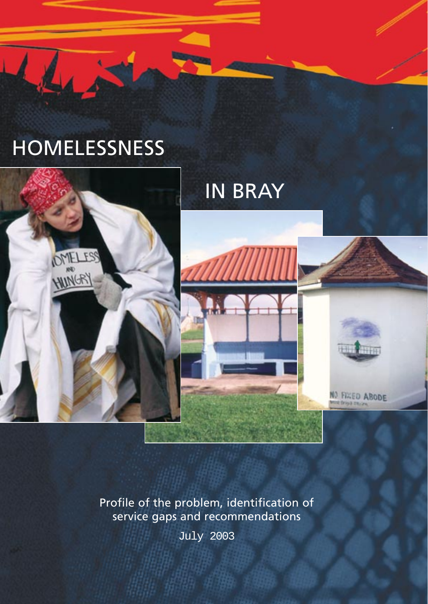



# IN BRAY



Profile of the problem, identification of service gaps and recommendations

July 2003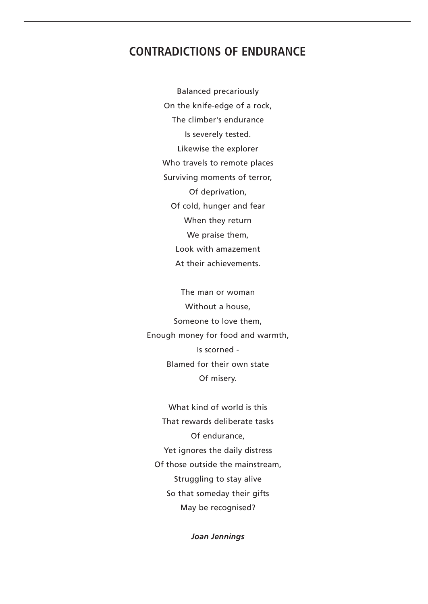## **CONTRADICTIONS OF ENDURANCE**

Balanced precariously On the knife-edge of a rock, The climber's endurance Is severely tested. Likewise the explorer Who travels to remote places Surviving moments of terror, Of deprivation, Of cold, hunger and fear When they return We praise them, Look with amazement At their achievements.

The man or woman Without a house, Someone to love them, Enough money for food and warmth, Is scorned - Blamed for their own state Of misery.

What kind of world is this That rewards deliberate tasks Of endurance, Yet ignores the daily distress Of those outside the mainstream, Struggling to stay alive So that someday their gifts May be recognised?

*Joan Jennings*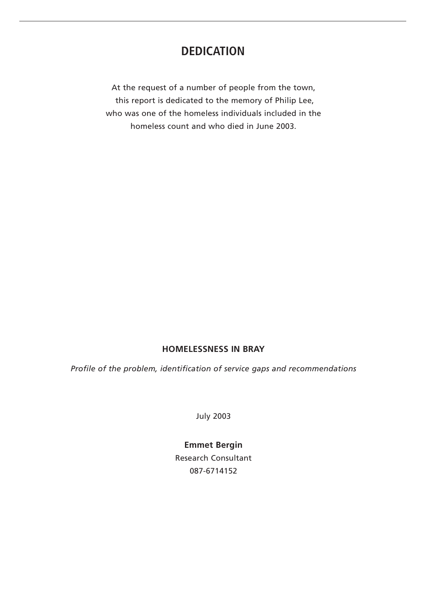## **DEDICATION**

At the request of a number of people from the town, this report is dedicated to the memory of Philip Lee, who was one of the homeless individuals included in the homeless count and who died in June 2003.

## **HOMELESSNESS IN BRAY**

*Profile of the problem, identification of service gaps and recommendations*

July 2003

## **Emmet Bergin**

Research Consultant 087-6714152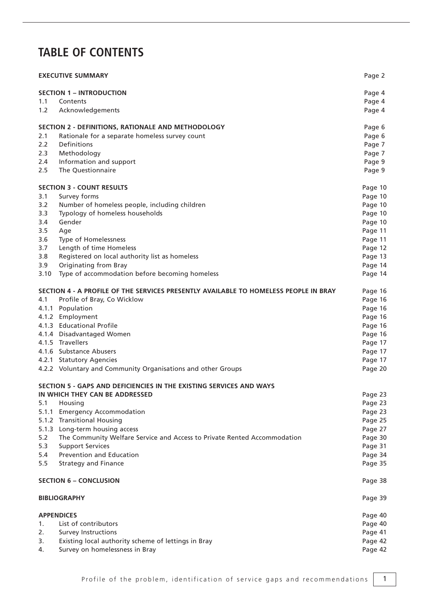# **TABLE OF CONTENTS**

| <b>EXECUTIVE SUMMARY</b> |                                                                                      |         |
|--------------------------|--------------------------------------------------------------------------------------|---------|
|                          | <b>SECTION 1 – INTRODUCTION</b>                                                      | Page 4  |
| 1.1                      | Contents                                                                             | Page 4  |
| 1.2                      | Acknowledgements                                                                     | Page 4  |
|                          | SECTION 2 - DEFINITIONS, RATIONALE AND METHODOLOGY                                   | Page 6  |
| 2.1                      | Rationale for a separate homeless survey count                                       | Page 6  |
| 2.2                      | Definitions                                                                          | Page 7  |
| 2.3                      | Methodology                                                                          | Page 7  |
| 2.4                      | Information and support                                                              | Page 9  |
| 2.5                      | The Questionnaire                                                                    | Page 9  |
|                          | <b>SECTION 3 - COUNT RESULTS</b>                                                     | Page 10 |
| 3.1                      | Survey forms                                                                         | Page 10 |
| 3.2                      | Number of homeless people, including children                                        | Page 10 |
| 3.3                      | Typology of homeless households                                                      | Page 10 |
| 3.4                      | Gender                                                                               | Page 10 |
| 3.5                      | Age                                                                                  | Page 11 |
| 3.6                      | Type of Homelessness                                                                 | Page 11 |
| 3.7                      | Length of time Homeless                                                              | Page 12 |
| 3.8                      | Registered on local authority list as homeless                                       | Page 13 |
| 3.9                      | <b>Originating from Bray</b>                                                         | Page 14 |
| 3.10                     | Type of accommodation before becoming homeless                                       | Page 14 |
|                          | SECTION 4 - A PROFILE OF THE SERVICES PRESENTLY AVAILABLE TO HOMELESS PEOPLE IN BRAY | Page 16 |
| 4.1                      | Profile of Bray, Co Wicklow                                                          | Page 16 |
|                          | 4.1.1 Population                                                                     | Page 16 |
|                          | 4.1.2 Employment                                                                     | Page 16 |
|                          | 4.1.3 Educational Profile                                                            | Page 16 |
|                          | 4.1.4 Disadvantaged Women                                                            | Page 16 |
|                          | 4.1.5 Travellers                                                                     | Page 17 |
|                          | 4.1.6 Substance Abusers                                                              | Page 17 |
|                          | 4.2.1 Statutory Agencies                                                             | Page 17 |
|                          | 4.2.2 Voluntary and Community Organisations and other Groups                         | Page 20 |
|                          | SECTION 5 - GAPS AND DEFICIENCIES IN THE EXISTING SERVICES AND WAYS                  |         |
|                          | IN WHICH THEY CAN BE ADDRESSED                                                       | Page 23 |
| 5.1                      | Housing                                                                              | Page 23 |
|                          | 5.1.1 Emergency Accommodation                                                        | Page 23 |
|                          | 5.1.2 Transitional Housing                                                           | Page 25 |
|                          | 5.1.3 Long-term housing access                                                       | Page 27 |
| 5.2                      | The Community Welfare Service and Access to Private Rented Accommodation             | Page 30 |
| 5.3                      | <b>Support Services</b>                                                              | Page 31 |
| 5.4                      | Prevention and Education                                                             | Page 34 |
| 5.5                      | <b>Strategy and Finance</b>                                                          | Page 35 |
|                          | <b>SECTION 6 - CONCLUSION</b>                                                        | Page 38 |
|                          | <b>BIBLIOGRAPHY</b>                                                                  | Page 39 |
|                          | <b>APPENDICES</b>                                                                    | Page 40 |
| 1.                       | List of contributors                                                                 | Page 40 |
| 2.                       | <b>Survey Instructions</b>                                                           | Page 41 |
| 3.                       | Existing local authority scheme of lettings in Bray                                  | Page 42 |
| 4.                       | Survey on homelessness in Bray                                                       | Page 42 |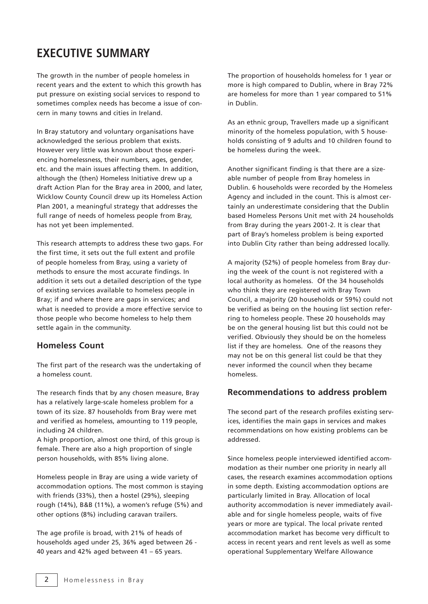# **EXECUTIVE SUMMARY**

The growth in the number of people homeless in recent years and the extent to which this growth has put pressure on existing social services to respond to sometimes complex needs has become a issue of concern in many towns and cities in Ireland.

In Bray statutory and voluntary organisations have acknowledged the serious problem that exists. However very little was known about those experiencing homelessness, their numbers, ages, gender, etc. and the main issues affecting them. In addition, although the (then) Homeless Initiative drew up a draft Action Plan for the Bray area in 2000, and later, Wicklow County Council drew up its Homeless Action Plan 2001, a meaningful strategy that addresses the full range of needs of homeless people from Bray, has not yet been implemented.

This research attempts to address these two gaps. For the first time, it sets out the full extent and profile of people homeless from Bray, using a variety of methods to ensure the most accurate findings. In addition it sets out a detailed description of the type of existing services available to homeless people in Bray; if and where there are gaps in services; and what is needed to provide a more effective service to those people who become homeless to help them settle again in the community.

## **Homeless Count**

The first part of the research was the undertaking of a homeless count.

The research finds that by any chosen measure, Bray has a relatively large-scale homeless problem for a town of its size. 87 households from Bray were met and verified as homeless, amounting to 119 people, including 24 children.

A high proportion, almost one third, of this group is female. There are also a high proportion of single person households, with 85% living alone.

Homeless people in Bray are using a wide variety of accommodation options. The most common is staying with friends (33%), then a hostel (29%), sleeping rough (14%), B&B (11%), a women's refuge (5%) and other options (8%) including caravan trailers.

The age profile is broad, with 21% of heads of households aged under 25, 36% aged between 26 - 40 years and 42% aged between 41 – 65 years.

The proportion of households homeless for 1 year or more is high compared to Dublin, where in Bray 72% are homeless for more than 1 year compared to 51% in Dublin.

As an ethnic group, Travellers made up a significant minority of the homeless population, with 5 households consisting of 9 adults and 10 children found to be homeless during the week.

Another significant finding is that there are a sizeable number of people from Bray homeless in Dublin. 6 households were recorded by the Homeless Agency and included in the count. This is almost certainly an underestimate considering that the Dublin based Homeless Persons Unit met with 24 households from Bray during the years 2001-2. It is clear that part of Bray's homeless problem is being exported into Dublin City rather than being addressed locally.

A majority (52%) of people homeless from Bray during the week of the count is not registered with a local authority as homeless. Of the 34 households who think they are registered with Bray Town Council, a majority (20 households or 59%) could not be verified as being on the housing list section referring to homeless people. These 20 households may be on the general housing list but this could not be verified. Obviously they should be on the homeless list if they are homeless. One of the reasons they may not be on this general list could be that they never informed the council when they became homeless.

## **Recommendations to address problem**

The second part of the research profiles existing services, identifies the main gaps in services and makes recommendations on how existing problems can be addressed.

Since homeless people interviewed identified accommodation as their number one priority in nearly all cases, the research examines accommodation options in some depth. Existing accommodation options are particularly limited in Bray. Allocation of local authority accommodation is never immediately available and for single homeless people, waits of five years or more are typical. The local private rented accommodation market has become very difficult to access in recent years and rent levels as well as some operational Supplementary Welfare Allowance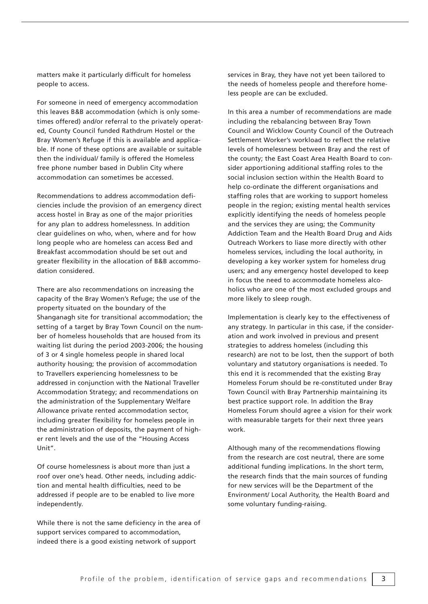matters make it particularly difficult for homeless people to access.

For someone in need of emergency accommodation this leaves B&B accommodation (which is only sometimes offered) and/or referral to the privately operated, County Council funded Rathdrum Hostel or the Bray Women's Refuge if this is available and applicable. If none of these options are available or suitable then the individual/ family is offered the Homeless free phone number based in Dublin City where accommodation can sometimes be accessed.

Recommendations to address accommodation deficiencies include the provision of an emergency direct access hostel in Bray as one of the major priorities for any plan to address homelessness. In addition clear guidelines on who, when, where and for how long people who are homeless can access Bed and Breakfast accommodation should be set out and greater flexibility in the allocation of B&B accommodation considered.

There are also recommendations on increasing the capacity of the Bray Women's Refuge; the use of the property situated on the boundary of the Shanganagh site for transitional accommodation; the setting of a target by Bray Town Council on the number of homeless households that are housed from its waiting list during the period 2003-2006; the housing of 3 or 4 single homeless people in shared local authority housing; the provision of accommodation to Travellers experiencing homelessness to be addressed in conjunction with the National Traveller Accommodation Strategy; and recommendations on the administration of the Supplementary Welfare Allowance private rented accommodation sector, including greater flexibility for homeless people in the administration of deposits, the payment of higher rent levels and the use of the "Housing Access Unit".

Of course homelessness is about more than just a roof over one's head. Other needs, including addiction and mental health difficulties, need to be addressed if people are to be enabled to live more independently.

While there is not the same deficiency in the area of support services compared to accommodation, indeed there is a good existing network of support

services in Bray, they have not yet been tailored to the needs of homeless people and therefore homeless people are can be excluded.

In this area a number of recommendations are made including the rebalancing between Bray Town Council and Wicklow County Council of the Outreach Settlement Worker's workload to reflect the relative levels of homelessness between Bray and the rest of the county; the East Coast Area Health Board to consider apportioning additional staffing roles to the social inclusion section within the Health Board to help co-ordinate the different organisations and staffing roles that are working to support homeless people in the region; existing mental health services explicitly identifying the needs of homeless people and the services they are using; the Community Addiction Team and the Health Board Drug and Aids Outreach Workers to liase more directly with other homeless services, including the local authority, in developing a key worker system for homeless drug users; and any emergency hostel developed to keep in focus the need to accommodate homeless alcoholics who are one of the most excluded groups and more likely to sleep rough.

Implementation is clearly key to the effectiveness of any strategy. In particular in this case, if the consideration and work involved in previous and present strategies to address homeless (including this research) are not to be lost, then the support of both voluntary and statutory organisations is needed. To this end it is recommended that the existing Bray Homeless Forum should be re-constituted under Bray Town Council with Bray Partnership maintaining its best practice support role. In addition the Bray Homeless Forum should agree a vision for their work with measurable targets for their next three years work.

Although many of the recommendations flowing from the research are cost neutral, there are some additional funding implications. In the short term, the research finds that the main sources of funding for new services will be the Department of the Environment/ Local Authority, the Health Board and some voluntary funding-raising.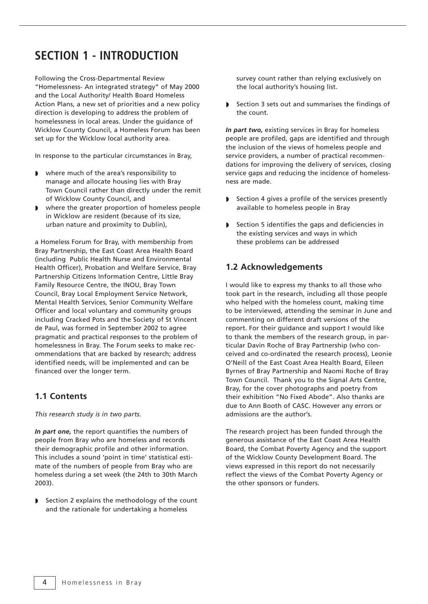# **SECTION 1 - INTRODUCTION**

Following the Cross-Departmental Review "Homelessness- An integrated strategy" of May 2000 and the Local Authority/ Health Board Homeless Action Plans, a new set of priorities and a new policy direction is developing to address the problem of homelessness in local areas. Under the guidance of Wicklow County Council, a Homeless Forum has been set up for the Wicklow local authority area.

In response to the particular circumstances in Bray,

- ◗ where much of the area's responsibility to manage and allocate housing lies with Bray Town Council rather than directly under the remit of Wicklow County Council, and
- where the greater proportion of homeless people in Wicklow are resident (because of its size, urban nature and proximity to Dublin),

a Homeless Forum for Bray, with membership from Bray Partnership, the East Coast Area Health Board (including Public Health Nurse and Environmental Health Officer), Probation and Welfare Service, Bray Partnership Citizens Information Centre, Little Bray Family Resource Centre, the INOU, Bray Town Council, Bray Local Employment Service Network, Mental Health Services, Senior Community Welfare Officer and local voluntary and community groups including Cracked Pots and the Society of St Vincent de Paul, was formed in September 2002 to agree pragmatic and practical responses to the problem of homelessness in Bray. The Forum seeks to make recommendations that are backed by research; address identified needs, will be implemented and can be financed over the longer term.

## **1.1 Contents**

*This research study is in two parts.*

*In part one,* the report quantifies the numbers of people from Bray who are homeless and records their demographic profile and other information. This includes a sound 'point in time' statistical estimate of the numbers of people from Bray who are homeless during a set week (the 24th to 30th March 2003).

◗ Section 2 explains the methodology of the count and the rationale for undertaking a homeless

survey count rather than relying exclusively on the local authority's housing list.

◗ Section 3 sets out and summarises the findings of the count.

*In part two,* existing services in Bray for homeless people are profiled, gaps are identified and through the inclusion of the views of homeless people and service providers, a number of practical recommendations for improving the delivery of services, closing service gaps and reducing the incidence of homelessness are made.

- ◗ Section 4 gives a profile of the services presently available to homeless people in Bray
- ◗ Section 5 identifies the gaps and deficiencies in the existing services and ways in which these problems can be addressed

## **1.2 Acknowledgements**

I would like to express my thanks to all those who took part in the research, including all those people who helped with the homeless count, making time to be interviewed, attending the seminar in June and commenting on different draft versions of the report. For their guidance and support I would like to thank the members of the research group, in particular Davin Roche of Bray Partnership (who conceived and co-ordinated the research process), Leonie O'Neill of the East Coast Area Health Board, Eileen Byrnes of Bray Partnership and Naomi Roche of Bray Town Council. Thank you to the Signal Arts Centre, Bray, for the cover photographs and poetry from their exhibition "No Fixed Abode". Also thanks are due to Ann Booth of CASC. However any errors or admissions are the author's.

The research project has been funded through the generous assistance of the East Coast Area Health Board, the Combat Poverty Agency and the support of the Wicklow County Development Board. The views expressed in this report do not necessarily reflect the views of the Combat Poverty Agency or the other sponsors or funders.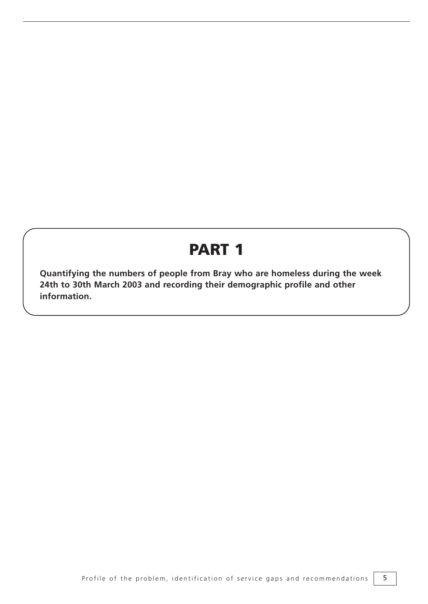# **PART 1**

**Quantifying the numbers of people from Bray who are homeless during the week 24th to 30th March 2003 and recording their demographic profile and other information.**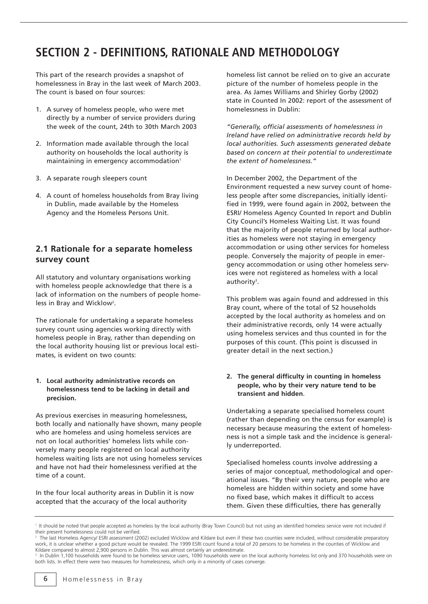# **SECTION 2 - DEFINITIONS, RATIONALE AND METHODOLOGY**

This part of the research provides a snapshot of homelessness in Bray in the last week of March 2003. The count is based on four sources:

- 1. A survey of homeless people, who were met directly by a number of service providers during the week of the count, 24th to 30th March 2003
- 2. Information made available through the local authority on households the local authority is maintaining in emergency accommodation<sup>1</sup>
- 3. A separate rough sleepers count
- 4. A count of homeless households from Bray living in Dublin, made available by the Homeless Agency and the Homeless Persons Unit.

## **2.1 Rationale for a separate homeless survey count**

All statutory and voluntary organisations working with homeless people acknowledge that there is a lack of information on the numbers of people homeless in Bray and Wicklow<sup>2</sup>.

The rationale for undertaking a separate homeless survey count using agencies working directly with homeless people in Bray, rather than depending on the local authority housing list or previous local estimates, is evident on two counts:

## **1. Local authority administrative records on homelessness tend to be lacking in detail and precision.**

As previous exercises in measuring homelessness, both locally and nationally have shown, many people who are homeless and using homeless services are not on local authorities' homeless lists while conversely many people registered on local authority homeless waiting lists are not using homeless services and have not had their homelessness verified at the time of a count.

In the four local authority areas in Dublin it is now accepted that the accuracy of the local authority

homeless list cannot be relied on to give an accurate picture of the number of homeless people in the area. As James Williams and Shirley Gorby (2002) state in Counted In 2002: report of the assessment of homelessness in Dublin:

*"Generally, official assessments of homelessness in Ireland have relied on administrative records held by local authorities. Such assessments generated debate based on concern at their potential to underestimate the extent of homelessness."*

In December 2002, the Department of the Environment requested a new survey count of homeless people after some discrepancies, initially identified in 1999, were found again in 2002, between the ESRI/ Homeless Agency Counted In report and Dublin City Council's Homeless Waiting List. It was found that the majority of people returned by local authorities as homeless were not staying in emergency accommodation or using other services for homeless people. Conversely the majority of people in emergency accommodation or using other homeless services were not registered as homeless with a local authority<sup>3</sup>.

This problem was again found and addressed in this Bray count, where of the total of 52 households accepted by the local authority as homeless and on their administrative records, only 14 were actually using homeless services and thus counted in for the purposes of this count. (This point is discussed in greater detail in the next section.)

## **2. The general difficulty in counting in homeless people, who by their very nature tend to be transient and hidden**.

Undertaking a separate specialised homeless count (rather than depending on the census for example) is necessary because measuring the extent of homelessness is not a simple task and the incidence is generally underreported.

Specialised homeless counts involve addressing a series of major conceptual, methodological and operational issues. "By their very nature, people who are homeless are hidden within society and some have no fixed base, which makes it difficult to access them. Given these difficulties, there has generally

<sup>&</sup>lt;sup>1</sup> It should be noted that people accepted as homeless by the local authority (Bray Town Council) but not using an identified homeless service were not included if their present homelessness could not be verified.

<sup>&</sup>lt;sup>2</sup> The last Homeless Agency/ ESRI assessment (2002) excluded Wicklow and Kildare but even if these two counties were included, without considerable preparatory work, it is unclear whether a good picture would be revealed. The 1999 ESRI count found a total of 20 persons to be homeless in the counties of Wicklow and Kildare compared to almost 2,900 persons in Dublin. This was almost certainly an underestimate.

In Dublin 1,100 households were found to be homeless service users, 1090 households were on the local authority homeless list only and 370 households were on both lists. In effect there were two measures for homelessness, which only in a minority of cases converge.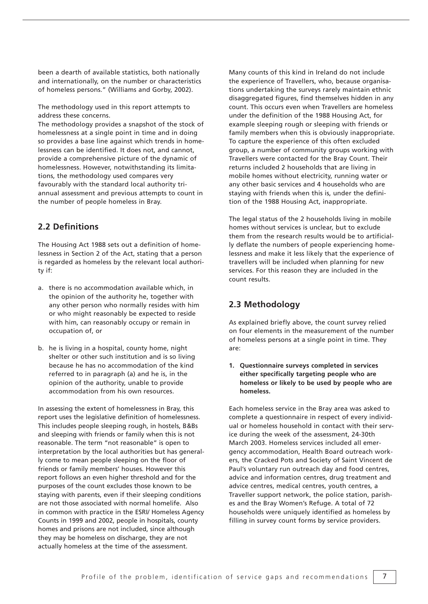been a dearth of available statistics, both nationally and internationally, on the number or characteristics of homeless persons." (Williams and Gorby, 2002).

The methodology used in this report attempts to address these concerns.

The methodology provides a snapshot of the stock of homelessness at a single point in time and in doing so provides a base line against which trends in homelessness can be identified. It does not, and cannot, provide a comprehensive picture of the dynamic of homelessness. However, notwithstanding its limitations, the methodology used compares very favourably with the standard local authority triannual assessment and previous attempts to count in the number of people homeless in Bray.

## **2.2 Definitions**

The Housing Act 1988 sets out a definition of homelessness in Section 2 of the Act, stating that a person is regarded as homeless by the relevant local authority if:

- a. there is no accommodation available which, in the opinion of the authority he, together with any other person who normally resides with him or who might reasonably be expected to reside with him, can reasonably occupy or remain in occupation of, or
- b. he is living in a hospital, county home, night shelter or other such institution and is so living because he has no accommodation of the kind referred to in paragraph (a) and he is, in the opinion of the authority, unable to provide accommodation from his own resources.

In assessing the extent of homelessness in Bray, this report uses the legislative definition of homelessness. This includes people sleeping rough, in hostels, B&Bs and sleeping with friends or family when this is not reasonable. The term "not reasonable" is open to interpretation by the local authorities but has generally come to mean people sleeping on the floor of friends or family members' houses. However this report follows an even higher threshold and for the purposes of the count excludes those known to be staying with parents, even if their sleeping conditions are not those associated with normal homelife. Also in common with practice in the ESRI/ Homeless Agency Counts in 1999 and 2002, people in hospitals, county homes and prisons are not included, since although they may be homeless on discharge, they are not actually homeless at the time of the assessment.

Many counts of this kind in Ireland do not include the experience of Travellers, who, because organisations undertaking the surveys rarely maintain ethnic disaggregated figures, find themselves hidden in any count. This occurs even when Travellers are homeless under the definition of the 1988 Housing Act, for example sleeping rough or sleeping with friends or family members when this is obviously inappropriate. To capture the experience of this often excluded group, a number of community groups working with Travellers were contacted for the Bray Count. Their returns included 2 households that are living in mobile homes without electricity, running water or any other basic services and 4 households who are staying with friends when this is, under the definition of the 1988 Housing Act, inappropriate.

The legal status of the 2 households living in mobile homes without services is unclear, but to exclude them from the research results would be to artificially deflate the numbers of people experiencing homelessness and make it less likely that the experience of travellers will be included when planning for new services. For this reason they are included in the count results.

## **2.3 Methodology**

As explained briefly above, the count survey relied on four elements in the measurement of the number of homeless persons at a single point in time. They are:

**1. Questionnaire surveys completed in services either specifically targeting people who are homeless or likely to be used by people who are homeless.** 

Each homeless service in the Bray area was asked to complete a questionnaire in respect of every individual or homeless household in contact with their service during the week of the assessment, 24-30th March 2003. Homeless services included all emergency accommodation, Health Board outreach workers, the Cracked Pots and Society of Saint Vincent de Paul's voluntary run outreach day and food centres, advice and information centres, drug treatment and advice centres, medical centres, youth centres, a Traveller support network, the police station, parishes and the Bray Women's Refuge. A total of 72 households were uniquely identified as homeless by filling in survey count forms by service providers.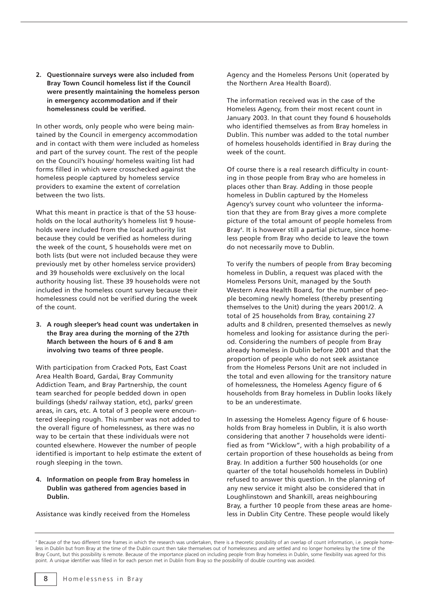**2. Questionnaire surveys were also included from Bray Town Council homeless list if the Council were presently maintaining the homeless person in emergency accommodation and if their homelessness could be verified.** 

In other words, only people who were being maintained by the Council in emergency accommodation and in contact with them were included as homeless and part of the survey count. The rest of the people on the Council's housing/ homeless waiting list had forms filled in which were crosschecked against the homeless people captured by homeless service providers to examine the extent of correlation between the two lists.

What this meant in practice is that of the 53 households on the local authority's homeless list 9 households were included from the local authority list because they could be verified as homeless during the week of the count, 5 households were met on both lists (but were not included because they were previously met by other homeless service providers) and 39 households were exclusively on the local authority housing list. These 39 households were not included in the homeless count survey because their homelessness could not be verified during the week of the count.

**3. A rough sleeper's head count was undertaken in the Bray area during the morning of the 27th March between the hours of 6 and 8 am involving two teams of three people.** 

With participation from Cracked Pots, East Coast Area Health Board, Gardai, Bray Community Addiction Team, and Bray Partnership, the count team searched for people bedded down in open buildings (sheds/ railway station, etc), parks/ green areas, in cars, etc. A total of 3 people were encountered sleeping rough. This number was not added to the overall figure of homelessness, as there was no way to be certain that these individuals were not counted elsewhere. However the number of people identified is important to help estimate the extent of rough sleeping in the town.

## **4. Information on people from Bray homeless in Dublin was gathered from agencies based in Dublin.**

Assistance was kindly received from the Homeless

Agency and the Homeless Persons Unit (operated by the Northern Area Health Board).

The information received was in the case of the Homeless Agency, from their most recent count in January 2003. In that count they found 6 households who identified themselves as from Bray homeless in Dublin. This number was added to the total number of homeless households identified in Bray during the week of the count.

Of course there is a real research difficulty in counting in those people from Bray who are homeless in places other than Bray. Adding in those people homeless in Dublin captured by the Homeless Agency's survey count who volunteer the information that they are from Bray gives a more complete picture of the total amount of people homeless from Bray<sup>4</sup>. It is however still a partial picture, since homeless people from Bray who decide to leave the town do not necessarily move to Dublin.

To verify the numbers of people from Bray becoming homeless in Dublin, a request was placed with the Homeless Persons Unit, managed by the South Western Area Health Board, for the number of people becoming newly homeless (thereby presenting themselves to the Unit) during the years 2001/2. A total of 25 households from Bray, containing 27 adults and 8 children, presented themselves as newly homeless and looking for assistance during the period. Considering the numbers of people from Bray already homeless in Dublin before 2001 and that the proportion of people who do not seek assistance from the Homeless Persons Unit are not included in the total and even allowing for the transitory nature of homelessness, the Homeless Agency figure of 6 households from Bray homeless in Dublin looks likely to be an underestimate.

In assessing the Homeless Agency figure of 6 households from Bray homeless in Dublin, it is also worth considering that another 7 households were identified as from "Wicklow", with a high probability of a certain proportion of these households as being from Bray. In addition a further 500 households (or one quarter of the total households homeless in Dublin) refused to answer this question. In the planning of any new service it might also be considered that in Loughlinstown and Shankill, areas neighbouring Bray, a further 10 people from these areas are homeless in Dublin City Centre. These people would likely

<sup>4</sup> Because of the two different time frames in which the research was undertaken, there is a theoretic possibility of an overlap of count information, i.e. people homeless in Dublin but from Bray at the time of the Dublin count then take themselves out of homelessness and are settled and no longer homeless by the time of the Bray Count, but this possibility is remote. Because of the importance placed on including people from Bray homeless in Dublin, some flexibility was agreed for this point. A unique identifier was filled in for each person met in Dublin from Bray so the possibility of double counting was avoided.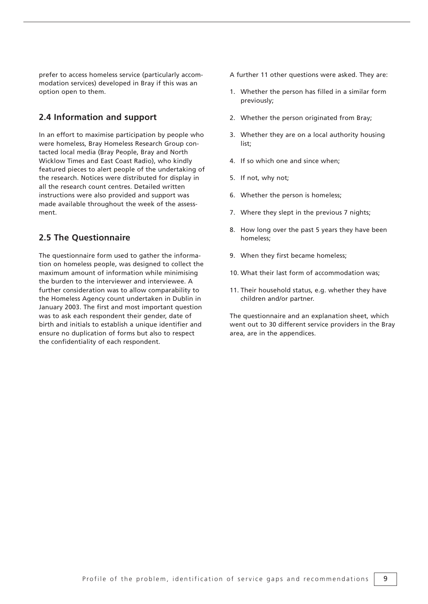prefer to access homeless service (particularly accommodation services) developed in Bray if this was an option open to them.

## **2.4 Information and support**

In an effort to maximise participation by people who were homeless, Bray Homeless Research Group contacted local media (Bray People, Bray and North Wicklow Times and East Coast Radio), who kindly featured pieces to alert people of the undertaking of the research. Notices were distributed for display in all the research count centres. Detailed written instructions were also provided and support was made available throughout the week of the assessment.

## **2.5 The Questionnaire**

The questionnaire form used to gather the information on homeless people, was designed to collect the maximum amount of information while minimising the burden to the interviewer and interviewee. A further consideration was to allow comparability to the Homeless Agency count undertaken in Dublin in January 2003. The first and most important question was to ask each respondent their gender, date of birth and initials to establish a unique identifier and ensure no duplication of forms but also to respect the confidentiality of each respondent.

A further 11 other questions were asked. They are:

- 1. Whether the person has filled in a similar form previously;
- 2. Whether the person originated from Bray;
- 3. Whether they are on a local authority housing list;
- 4. If so which one and since when;
- 5. If not, why not;
- 6. Whether the person is homeless;
- 7. Where they slept in the previous 7 nights;
- 8. How long over the past 5 years they have been homeless;
- 9. When they first became homeless;
- 10. What their last form of accommodation was;
- 11. Their household status, e.g. whether they have children and/or partner.

The questionnaire and an explanation sheet, which went out to 30 different service providers in the Bray area, are in the appendices.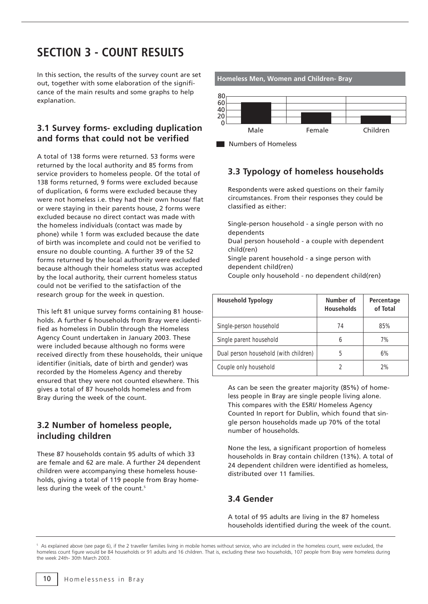# **SECTION 3 - COUNT RESULTS**

In this section, the results of the survey count are set out, together with some elaboration of the significance of the main results and some graphs to help explanation.

## **3.1 Survey forms- excluding duplication and forms that could not be verified**

A total of 138 forms were returned. 53 forms were returned by the local authority and 85 forms from service providers to homeless people. Of the total of 138 forms returned, 9 forms were excluded because of duplication, 6 forms were excluded because they were not homeless i.e. they had their own house/ flat or were staying in their parents house, 2 forms were excluded because no direct contact was made with the homeless individuals (contact was made by phone) while 1 form was excluded because the date of birth was incomplete and could not be verified to ensure no double counting. A further 39 of the 52 forms returned by the local authority were excluded because although their homeless status was accepted by the local authority, their current homeless status could not be verified to the satisfaction of the research group for the week in question.

This left 81 unique survey forms containing 81 households. A further 6 households from Bray were identified as homeless in Dublin through the Homeless Agency Count undertaken in January 2003. These were included because although no forms were received directly from these households, their unique identifier (initials, date of birth and gender) was recorded by the Homeless Agency and thereby ensured that they were not counted elsewhere. This gives a total of 87 households homeless and from Bray during the week of the count.

## **3.2 Number of homeless people, including children**

These 87 households contain 95 adults of which 33 are female and 62 are male. A further 24 dependent children were accompanying these homeless households, giving a total of 119 people from Bray homeless during the week of the count.<sup>5</sup>





## **3.3 Typology of homeless households**

Respondents were asked questions on their family circumstances. From their responses they could be classified as either:

Single-person household - a single person with no dependents

Dual person household - a couple with dependent child(ren)

Single parent household - a singe person with dependent child(ren)

Couple only household - no dependent child(ren)

| <b>Household Typology</b>             | Number of<br><b>Households</b> | Percentage<br>of Total |  |
|---------------------------------------|--------------------------------|------------------------|--|
| Single-person household               | 74                             | 85%                    |  |
| Single parent household               | 6                              | 7%                     |  |
| Dual person household (with children) | 5                              | 6%                     |  |
| Couple only household                 |                                | 2%                     |  |

As can be seen the greater majority (85%) of homeless people in Bray are single people living alone. This compares with the ESRI/ Homeless Agency Counted In report for Dublin, which found that single person households made up 70% of the total number of households.

None the less, a significant proportion of homeless households in Bray contain children (13%). A total of 24 dependent children were identified as homeless, distributed over 11 families.

## **3.4 Gender**

A total of 95 adults are living in the 87 homeless households identified during the week of the count.

As explained above (see page 6), if the 2 traveller families living in mobile homes without service, who are included in the homeless count, were excluded, the homeless count figure would be 84 households or 91 adults and 16 children. That is, excluding these two households, 107 people from Bray were homeless during the week 24th- 30th March 2003.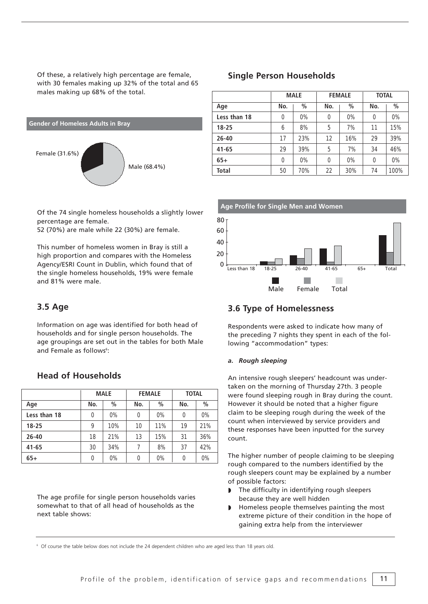Of these, a relatively high percentage are female, with 30 females making up 32% of the total and 65 males making up 68% of the total.



Of the 74 single homeless households a slightly lower percentage are female.

52 (70%) are male while 22 (30%) are female.

This number of homeless women in Bray is still a high proportion and compares with the Homeless Agency/ESRI Count in Dublin, which found that of the single homeless households, 19% were female and 81% were male.

## **3.5 Age**

Information on age was identified for both head of households and for single person households. The age groupings are set out in the tables for both Male and Female as follows<sup>6</sup>:

# **Head of Households**

| <b>MALE</b>  |          |       | <b>FEMALE</b> | <b>TOTAL</b> |     |       |
|--------------|----------|-------|---------------|--------------|-----|-------|
| Age          | No.      | $\%$  | No.           | $\%$         | No. | $\%$  |
| Less than 18 | 0        | 0%    | 0             | $0\%$        | 0   | $0\%$ |
| $18 - 25$    | 9        | 10%   | 10            | 11%          | 19  | 21%   |
| $26 - 40$    | 18       | 21%   | 13            | 15%          | 31  | 36%   |
| $41 - 65$    | 30       | 34%   | 7             | 8%           | 37  | 42%   |
| $65+$        | $\Omega$ | $0\%$ | 0             | $0\%$        | 0   | $0\%$ |

The age profile for single person households varies somewhat to that of all head of households as the next table shows:

## **Single Person Households**

|              | <b>MALE</b> |       | <b>FEMALE</b> |       | <b>TOTAL</b> |       |
|--------------|-------------|-------|---------------|-------|--------------|-------|
| Age          | No.         | $\%$  | No.           | $\%$  | No.          | $\%$  |
| Less than 18 | 0           | 0%    | 0             | 0%    | 0            | 0%    |
| $18 - 25$    | 6           | 8%    | 5             | 7%    | 11           | 15%   |
| $26 - 40$    | 17          | 23%   | 12            | 16%   | 29           | 39%   |
| $41 - 65$    | 29          | 39%   | 5             | 7%    | 34           | 46%   |
| $65+$        | 0           | $0\%$ | 0             | $0\%$ | 0            | $0\%$ |
| Total        | 50          | 70%   | 22            | 30%   | 74           | 100%  |



## **3.6 Type of Homelessness**

Respondents were asked to indicate how many of the preceding 7 nights they spent in each of the following "accommodation" types:

## *a. Rough sleeping*

An intensive rough sleepers' headcount was undertaken on the morning of Thursday 27th. 3 people were found sleeping rough in Bray during the count. However it should be noted that a higher figure claim to be sleeping rough during the week of the count when interviewed by service providers and these responses have been inputted for the survey count.

The higher number of people claiming to be sleeping rough compared to the numbers identified by the rough sleepers count may be explained by a number of possible factors:

- ◗ The difficulty in identifying rough sleepers because they are well hidden
- ◗ Homeless people themselves painting the most extreme picture of their condition in the hope of gaining extra help from the interviewer

<sup>6</sup> Of course the table below does not include the 24 dependent children who are aged less than 18 years old.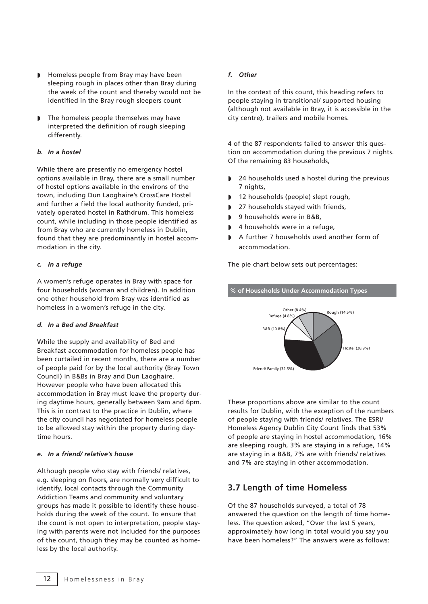- ◗ Homeless people from Bray may have been sleeping rough in places other than Bray during the week of the count and thereby would not be identified in the Bray rough sleepers count
- ◗ The homeless people themselves may have interpreted the definition of rough sleeping differently.

## *b. In a hostel*

While there are presently no emergency hostel options available in Bray, there are a small number of hostel options available in the environs of the town, including Dun Laoghaire's CrossCare Hostel and further a field the local authority funded, privately operated hostel in Rathdrum. This homeless count, while including in those people identified as from Bray who are currently homeless in Dublin, found that they are predominantly in hostel accommodation in the city.

## *c. In a refuge*

A women's refuge operates in Bray with space for four households (woman and children). In addition one other household from Bray was identified as homeless in a women's refuge in the city.

## *d. In a Bed and Breakfast*

While the supply and availability of Bed and Breakfast accommodation for homeless people has been curtailed in recent months, there are a number of people paid for by the local authority (Bray Town Council) in B&Bs in Bray and Dun Laoghaire. However people who have been allocated this accommodation in Bray must leave the property during daytime hours, generally between 9am and 6pm. This is in contrast to the practice in Dublin, where the city council has negotiated for homeless people to be allowed stay within the property during daytime hours.

## *e. In a friend/ relative's house*

Although people who stay with friends/ relatives, e.g. sleeping on floors, are normally very difficult to identify, local contacts through the Community Addiction Teams and community and voluntary groups has made it possible to identify these households during the week of the count. To ensure that the count is not open to interpretation, people staying with parents were not included for the purposes of the count, though they may be counted as homeless by the local authority.

### *f. Other*

In the context of this count, this heading refers to people staying in transitional/ supported housing (although not available in Bray, it is accessible in the city centre), trailers and mobile homes.

4 of the 87 respondents failed to answer this question on accommodation during the previous 7 nights. Of the remaining 83 households,

- ◗ 24 households used a hostel during the previous 7 nights,
- 12 households (people) slept rough,
- 27 households stayed with friends,
- ◗ 9 households were in B&B,
- ◗ 4 households were in a refuge,
- A further 7 households used another form of accommodation.

The pie chart below sets out percentages:



These proportions above are similar to the count results for Dublin, with the exception of the numbers of people staying with friends/ relatives. The ESRI/ Homeless Agency Dublin City Count finds that 53% of people are staying in hostel accommodation, 16% are sleeping rough, 3% are staying in a refuge, 14% are staying in a B&B, 7% are with friends/ relatives and 7% are staying in other accommodation.

## **3.7 Length of time Homeless**

Of the 87 households surveyed, a total of 78 answered the question on the length of time homeless. The question asked, "Over the last 5 years, approximately how long in total would you say you have been homeless?" The answers were as follows: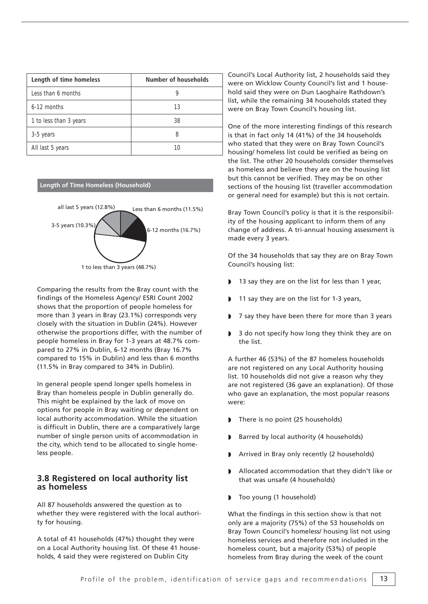| Length of time homeless | Number of households |
|-------------------------|----------------------|
| Less than 6 months      |                      |
| $6-12$ months           | 13                   |
| 1 to less than 3 years  | 38                   |
| 3-5 years               | 8                    |
| All last 5 years        | 10                   |

## **Length of Time Homeless (Household)**



Comparing the results from the Bray count with the findings of the Homeless Agency/ ESRI Count 2002 shows that the proportion of people homeless for more than 3 years in Bray (23.1%) corresponds very closely with the situation in Dublin (24%). However otherwise the proportions differ, with the number of people homeless in Bray for 1-3 years at 48.7% compared to 27% in Dublin, 6-12 months (Bray 16.7% compared to 15% in Dublin) and less than 6 months (11.5% in Bray compared to 34% in Dublin).

In general people spend longer spells homeless in Bray than homeless people in Dublin generally do. This might be explained by the lack of move on options for people in Bray waiting or dependent on local authority accommodation. While the situation is difficult in Dublin, there are a comparatively large number of single person units of accommodation in the city, which tend to be allocated to single homeless people.

## **3.8 Registered on local authority list as homeless**

All 87 households answered the question as to whether they were registered with the local authority for housing.

A total of 41 households (47%) thought they were on a Local Authority housing list. Of these 41 households, 4 said they were registered on Dublin City

Council's Local Authority list, 2 households said they were on Wicklow County Council's list and 1 household said they were on Dun Laoghaire Rathdown's list, while the remaining 34 households stated they were on Bray Town Council's housing list.

One of the more interesting findings of this research is that in fact only 14 (41%) of the 34 households who stated that they were on Bray Town Council's housing/ homeless list could be verified as being on the list. The other 20 households consider themselves as homeless and believe they are on the housing list but this cannot be verified. They may be on other sections of the housing list (traveller accommodation or general need for example) but this is not certain.

Bray Town Council's policy is that it is the responsibility of the housing applicant to inform them of any change of address. A tri-annual housing assessment is made every 3 years.

Of the 34 households that say they are on Bray Town Council's housing list:

- 13 say they are on the list for less than 1 year,
- 11 say they are on the list for 1-3 years,
- ◗ 7 say they have been there for more than 3 years
- ◗ 3 do not specify how long they think they are on the list.

A further 46 (53%) of the 87 homeless households are not registered on any Local Authority housing list. 10 households did not give a reason why they are not registered (36 gave an explanation). Of those who gave an explanation, the most popular reasons were:

- There is no point (25 households)
- ◗ Barred by local authority (4 households)
- ◗ Arrived in Bray only recently (2 households)
- ◗ Allocated accommodation that they didn't like or that was unsafe (4 households)
- ◗ Too young (1 household)

What the findings in this section show is that not only are a majority (75%) of the 53 households on Bray Town Council's homeless/ housing list not using homeless services and therefore not included in the homeless count, but a majority (53%) of people homeless from Bray during the week of the count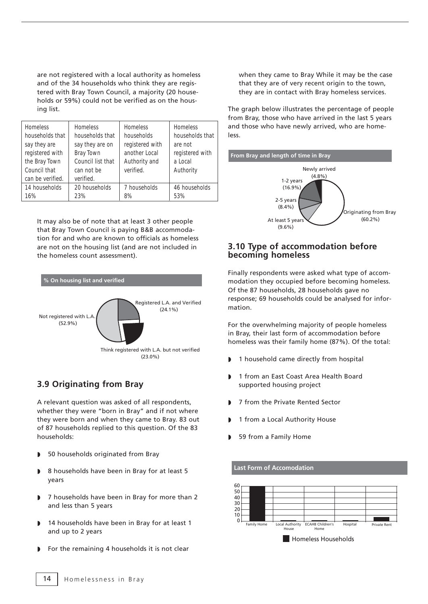are not registered with a local authority as homeless and of the 34 households who think they are registered with Bray Town Council, a majority (20 households or 59%) could not be verified as on the housing list.

| <b>Homeless</b><br>households that<br>say they are<br>registered with | Homeless<br>households that<br>say they are on<br><b>Bray Town</b> | Homeless<br>households<br>registered with<br>another Local | Homeless<br>households that<br>are not<br>registered with |
|-----------------------------------------------------------------------|--------------------------------------------------------------------|------------------------------------------------------------|-----------------------------------------------------------|
| the Bray Town                                                         | Council list that                                                  | Authority and                                              | a Local                                                   |
| Council that                                                          | can not be                                                         | verified.                                                  | Authority                                                 |
| can be verified.                                                      | verified.                                                          |                                                            |                                                           |
| 14 households                                                         | 20 households                                                      | 7 households                                               | 46 households                                             |
| 16%                                                                   | 23%                                                                | 8%                                                         | 53%                                                       |

It may also be of note that at least 3 other people that Bray Town Council is paying B&B accommodation for and who are known to officials as homeless are not on the housing list (and are not included in the homeless count assessment).



## **3.9 Originating from Bray**

A relevant question was asked of all respondents, whether they were "born in Bray" and if not where they were born and when they came to Bray. 83 out of 87 households replied to this question. Of the 83 households:

- ◗ 50 households originated from Bray
- ◗ 8 households have been in Bray for at least 5 years
- ◗ 7 households have been in Bray for more than 2 and less than 5 years
- 14 households have been in Bray for at least 1 and up to 2 years
- ◗ For the remaining 4 households it is not clear

when they came to Bray While it may be the case that they are of very recent origin to the town, they are in contact with Bray homeless services.

The graph below illustrates the percentage of people from Bray, those who have arrived in the last 5 years and those who have newly arrived, who are homeless.



## **3.10 Type of accommodation before becoming homeless**

Finally respondents were asked what type of accommodation they occupied before becoming homeless. Of the 87 households, 28 households gave no response; 69 households could be analysed for information.

For the overwhelming majority of people homeless in Bray, their last form of accommodation before homeless was their family home (87%). Of the total:

- ◗ 1 household came directly from hospital
- ◗ 1 from an East Coast Area Health Board supported housing project
- ◗ 7 from the Private Rented Sector
- 1 from a Local Authority House
- 59 from a Family Home

## **Last Form of Accomodation**



**Homeless Households**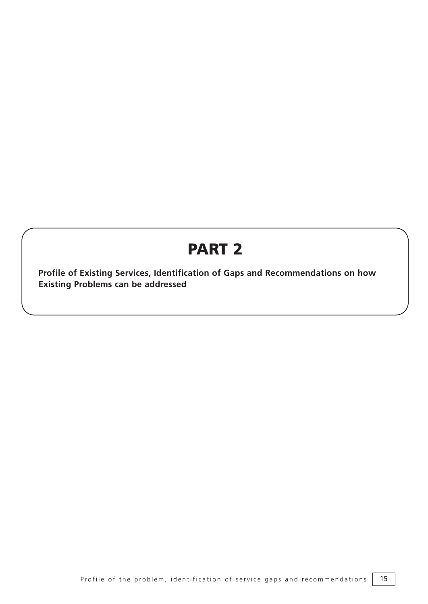# **PART 2**

**Profile of Existing Services, Identification of Gaps and Recommendations on how Existing Problems can be addressed**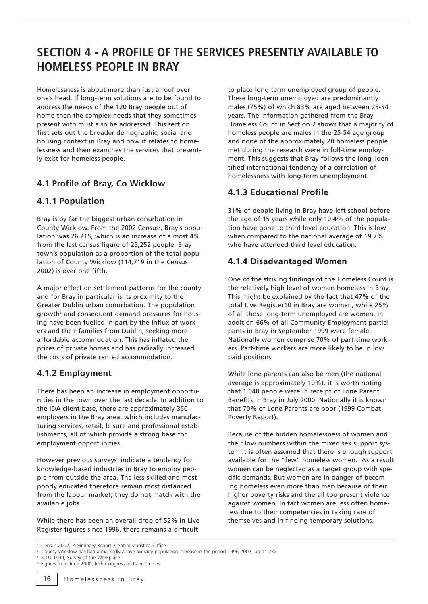# **SECTION 4 - A PROFILE OF THE SERVICES PRESENTLY AVAILABLE TO HOMELESS PEOPLE IN BRAY**

Homelessness is about more than just a roof over one's head. If long-term solutions are to be found to address the needs of the 120 Bray people out of home then the complex needs that they sometimes present with must also be addressed. This section first sets out the broader demographic, social and housing context in Bray and how it relates to homelessness and then examines the services that presently exist for homeless people.

## **4.1 Profile of Bray, Co Wicklow**

## **4.1.1 Population**

Bray is by far the biggest urban conurbation in County Wicklow. From the 2002 Census<sup>7</sup>, Bray's population was 26,215, which is an increase of almost 4% from the last census figure of 25,252 people. Bray town's population as a proportion of the total population of County Wicklow (114,719 in the Census 2002) is over one fifth.

A major effect on settlement patterns for the county and for Bray in particular is its proximity to the Greater Dublin urban conurbation. The population growth<sup>8</sup> and consequent demand pressures for housing have been fuelled in part by the influx of workers and their families from Dublin, seeking more affordable accommodation. This has inflated the prices of private homes and has radically increased the costs of private rented accommodation.

## **4.1.2 Employment**

There has been an increase in employment opportunities in the town over the last decade. In addition to the IDA client base, there are approximately 350 employers in the Bray area, which includes manufacturing services, retail, leisure and professional establishments, all of which provide a strong base for employment opportunities.

However previous surveys<sup>9</sup> indicate a tendency for knowledge-based industries in Bray to employ people from outside the area. The less skilled and most poorly educated therefore remain most distanced from the labour market; they do not match with the available jobs.

While there has been an overall drop of 52% in Live Register figures since 1996, there remains a difficult

to place long term unemployed group of people. These long-term unemployed are predominantly males (75%) of which 83% are aged between 25-54 years. The information gathered from the Bray Homeless Count in Section 2 shows that a majority of homeless people are males in the 25-54 age group and none of the approximately 20 homeless people met during the research were in full-time employment. This suggests that Bray follows the long–identified international tendency of a correlation of homelessness with long-term unemployment.

## **4.1.3 Educational Profile**

31% of people living in Bray have left school before the age of 15 years while only 10.4% of the population have gone to third level education. This is low when compared to the national average of 19.7% who have attended third level education.

## **4.1.4 Disadvantaged Women**

One of the striking findings of the Homeless Count is the relatively high level of women homeless in Bray. This might be explained by the fact that 47% of the total Live Register10 in Bray are women, while 25% of all those long-term unemployed are women. In addition 66% of all Community Employment participants in Bray in September 1999 were female. Nationally women comprise 70% of part-time workers. Part-time workers are more likely to be in low paid positions.

While lone parents can also be men (the national average is approximately 10%), it is worth noting that 1,048 people were in receipt of Lone Parent Benefits in Bray in July 2000. Nationally it is known that 70% of Lone Parents are poor (1999 Combat Poverty Report).

Because of the hidden homelessness of women and their low numbers within the mixed sex support system it is often assumed that there is enough support available for the "few" homeless women. As a result women can be neglected as a target group with specific demands. But women are in danger of becoming homeless even more than men because of their higher poverty risks and the all too present violence against women. In fact women are less often homeless due to their competencies in taking care of themselves and in finding temporary solutions.

<sup>7</sup> Census 2002, Preliminary Report, Central Statistical Office.

<sup>&</sup>lt;sup>8</sup> County Wicklow has had a markedly above average population increase in the period 1996-2002, up 11.7%.<br><sup>9</sup> ICTU 1999, Survey of the Workplace.

<sup>&</sup>lt;sup>10</sup> Figures from June 2000, Irish Congress of Trade Unions.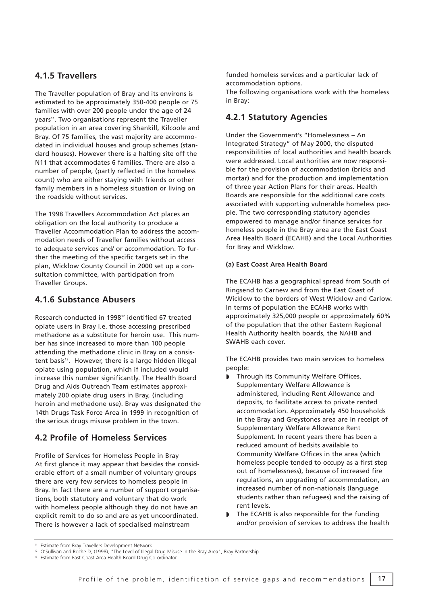## **4.1.5 Travellers**

The Traveller population of Bray and its environs is estimated to be approximately 350-400 people or 75 families with over 200 people under the age of 24 years<sup>11</sup>. Two organisations represent the Traveller population in an area covering Shankill, Kilcoole and Bray. Of 75 families, the vast majority are accommodated in individual houses and group schemes (standard houses). However there is a halting site off the N11 that accommodates 6 families. There are also a number of people, (partly reflected in the homeless count) who are either staying with friends or other family members in a homeless situation or living on the roadside without services.

The 1998 Travellers Accommodation Act places an obligation on the local authority to produce a Traveller Accommodation Plan to address the accommodation needs of Traveller families without access to adequate services and/ or accommodation. To further the meeting of the specific targets set in the plan, Wicklow County Council in 2000 set up a consultation committee, with participation from Traveller Groups.

## **4.1.6 Substance Abusers**

Research conducted in 199812 identified 67 treated opiate users in Bray i.e. those accessing prescribed methadone as a substitute for heroin use. This number has since increased to more than 100 people attending the methadone clinic in Bray on a consistent basis<sup>13</sup>. However, there is a large hidden illegal opiate using population, which if included would increase this number significantly. The Health Board Drug and Aids Outreach Team estimates approximately 200 opiate drug users in Bray, (including heroin and methadone use). Bray was designated the 14th Drugs Task Force Area in 1999 in recognition of the serious drugs misuse problem in the town.

## **4.2 Profile of Homeless Services**

Profile of Services for Homeless People in Bray At first glance it may appear that besides the considerable effort of a small number of voluntary groups there are very few services to homeless people in Bray. In fact there are a number of support organisations, both statutory and voluntary that do work with homeless people although they do not have an explicit remit to do so and are as yet uncoordinated. There is however a lack of specialised mainstream

funded homeless services and a particular lack of accommodation options.

The following organisations work with the homeless in Bray:

## **4.2.1 Statutory Agencies**

Under the Government's "Homelessness – An Integrated Strategy" of May 2000, the disputed responsibilities of local authorities and health boards were addressed. Local authorities are now responsible for the provision of accommodation (bricks and mortar) and for the production and implementation of three year Action Plans for their areas. Health Boards are responsible for the additional care costs associated with supporting vulnerable homeless people. The two corresponding statutory agencies empowered to manage and/or finance services for homeless people in the Bray area are the East Coast Area Health Board (ECAHB) and the Local Authorities for Bray and Wicklow.

## **(a) East Coast Area Health Board**

The ECAHB has a geographical spread from South of Ringsend to Carnew and from the East Coast of Wicklow to the borders of West Wicklow and Carlow. In terms of population the ECAHB works with approximately 325,000 people or approximately 60% of the population that the other Eastern Regional Health Authority health boards, the NAHB and SWAHB each cover.

The ECAHB provides two main services to homeless people:

- ◗ Through its Community Welfare Offices, Supplementary Welfare Allowance is administered, including Rent Allowance and deposits, to facilitate access to private rented accommodation. Approximately 450 households in the Bray and Greystones area are in receipt of Supplementary Welfare Allowance Rent Supplement. In recent years there has been a reduced amount of bedsits available to Community Welfare Offices in the area (which homeless people tended to occupy as a first step out of homelessness), because of increased fire regulations, an upgrading of accommodation, an increased number of non-nationals (language students rather than refugees) and the raising of rent levels.
- The ECAHB is also responsible for the funding and/or provision of services to address the health

Estimate from Bray Travellers Development Network.

<sup>12</sup> O'Sullivan and Roche D, (1998), "The Level of Illegal Drug Misuse in the Bray Area", Bray Partnership.

<sup>&</sup>lt;sup>13</sup> Estimate from East Coast Area Health Board Drug Co-ordinator.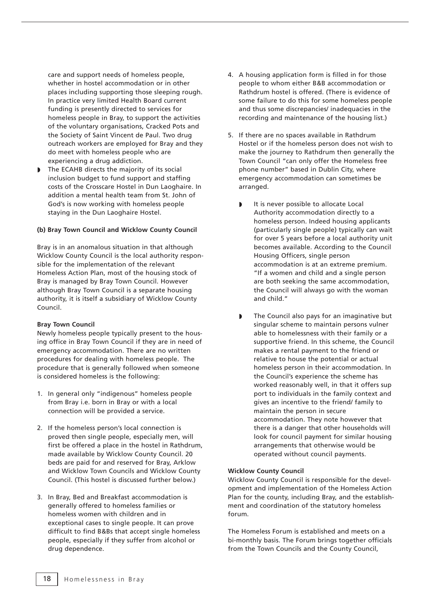care and support needs of homeless people, whether in hostel accommodation or in other places including supporting those sleeping rough. In practice very limited Health Board current funding is presently directed to services for homeless people in Bray, to support the activities of the voluntary organisations, Cracked Pots and the Society of Saint Vincent de Paul. Two drug outreach workers are employed for Bray and they do meet with homeless people who are experiencing a drug addiction.

The ECAHB directs the majority of its social inclusion budget to fund support and staffing costs of the Crosscare Hostel in Dun Laoghaire. In addition a mental health team from St. John of God's is now working with homeless people staying in the Dun Laoghaire Hostel.

### **(b) Bray Town Council and Wicklow County Council**

Bray is in an anomalous situation in that although Wicklow County Council is the local authority responsible for the implementation of the relevant Homeless Action Plan, most of the housing stock of Bray is managed by Bray Town Council. However although Bray Town Council is a separate housing authority, it is itself a subsidiary of Wicklow County Council.

#### **Bray Town Council**

Newly homeless people typically present to the housing office in Bray Town Council if they are in need of emergency accommodation. There are no written procedures for dealing with homeless people. The procedure that is generally followed when someone is considered homeless is the following:

- 1. In general only "indigenous" homeless people from Bray i.e. born in Bray or with a local connection will be provided a service.
- 2. If the homeless person's local connection is proved then single people, especially men, will first be offered a place in the hostel in Rathdrum, made available by Wicklow County Council. 20 beds are paid for and reserved for Bray, Arklow and Wicklow Town Councils and Wicklow County Council. (This hostel is discussed further below.)
- 3. In Bray, Bed and Breakfast accommodation is generally offered to homeless families or homeless women with children and in exceptional cases to single people. It can prove difficult to find B&Bs that accept single homeless people, especially if they suffer from alcohol or drug dependence.
- 4. A housing application form is filled in for those people to whom either B&B accommodation or Rathdrum hostel is offered. (There is evidence of some failure to do this for some homeless people and thus some discrepancies/ inadequacies in the recording and maintenance of the housing list.)
- 5. If there are no spaces available in Rathdrum Hostel or if the homeless person does not wish to make the journey to Rathdrum then generally the Town Council "can only offer the Homeless free phone number" based in Dublin City, where emergency accommodation can sometimes be arranged.
	- It is never possible to allocate Local Authority accommodation directly to a homeless person. Indeed housing applicants (particularly single people) typically can wait for over 5 years before a local authority unit becomes available. According to the Council Housing Officers, single person accommodation is at an extreme premium. "If a women and child and a single person are both seeking the same accommodation, the Council will always go with the woman and child."
	- ◗ The Council also pays for an imaginative but singular scheme to maintain persons vulner able to homelessness with their family or a supportive friend. In this scheme, the Council makes a rental payment to the friend or relative to house the potential or actual homeless person in their accommodation. In the Council's experience the scheme has worked reasonably well, in that it offers sup port to individuals in the family context and gives an incentive to the friend/ family to maintain the person in secure accommodation. They note however that there is a danger that other households will look for council payment for similar housing arrangements that otherwise would be operated without council payments.

#### **Wicklow County Council**

Wicklow County Council is responsible for the development and implementation of the Homeless Action Plan for the county, including Bray, and the establishment and coordination of the statutory homeless forum.

The Homeless Forum is established and meets on a bi-monthly basis. The Forum brings together officials from the Town Councils and the County Council,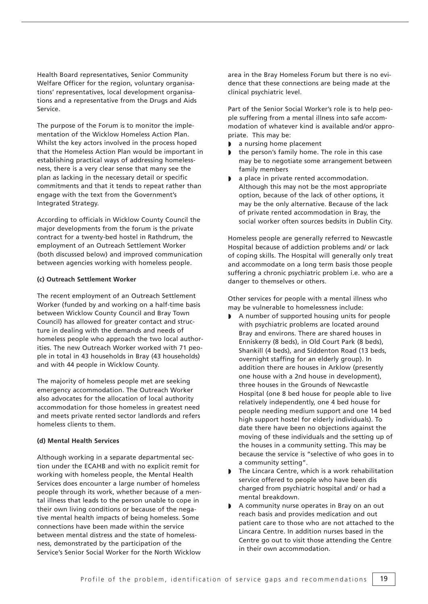Health Board representatives, Senior Community Welfare Officer for the region, voluntary organisations' representatives, local development organisations and a representative from the Drugs and Aids Service.

The purpose of the Forum is to monitor the implementation of the Wicklow Homeless Action Plan. Whilst the key actors involved in the process hoped that the Homeless Action Plan would be important in establishing practical ways of addressing homelessness, there is a very clear sense that many see the plan as lacking in the necessary detail or specific commitments and that it tends to repeat rather than engage with the text from the Government's Integrated Strategy.

According to officials in Wicklow County Council the major developments from the forum is the private contract for a twenty-bed hostel in Rathdrum, the employment of an Outreach Settlement Worker (both discussed below) and improved communication between agencies working with homeless people.

### **(c) Outreach Settlement Worker**

The recent employment of an Outreach Settlement Worker (funded by and working on a half-time basis between Wicklow County Council and Bray Town Council) has allowed for greater contact and structure in dealing with the demands and needs of homeless people who approach the two local authorities. The new Outreach Worker worked with 71 people in total in 43 households in Bray (43 households) and with 44 people in Wicklow County.

The majority of homeless people met are seeking emergency accommodation. The Outreach Worker also advocates for the allocation of local authority accommodation for those homeless in greatest need and meets private rented sector landlords and refers homeless clients to them.

#### **(d) Mental Health Services**

Although working in a separate departmental section under the ECAHB and with no explicit remit for working with homeless people, the Mental Health Services does encounter a large number of homeless people through its work, whether because of a mental illness that leads to the person unable to cope in their own living conditions or because of the negative mental health impacts of being homeless. Some connections have been made within the service between mental distress and the state of homelessness, demonstrated by the participation of the Service's Senior Social Worker for the North Wicklow area in the Bray Homeless Forum but there is no evidence that these connections are being made at the clinical psychiatric level.

Part of the Senior Social Worker's role is to help people suffering from a mental illness into safe accommodation of whatever kind is available and/or appropriate. This may be:

- a nursing home placement
- the person's family home. The role in this case may be to negotiate some arrangement between family members
- a place in private rented accommodation. Although this may not be the most appropriate option, because of the lack of other options, it may be the only alternative. Because of the lack of private rented accommodation in Bray, the social worker often sources bedsits in Dublin City.

Homeless people are generally referred to Newcastle Hospital because of addiction problems and/ or lack of coping skills. The Hospital will generally only treat and accommodate on a long term basis those people suffering a chronic psychiatric problem i.e. who are a danger to themselves or others.

Other services for people with a mental illness who may be vulnerable to homelessness include:

- ◗ A number of supported housing units for people with psychiatric problems are located around Bray and environs. There are shared houses in Enniskerry (8 beds), in Old Court Park (8 beds), Shankill (4 beds), and Siddenton Road (13 beds, overnight staffing for an elderly group). In addition there are houses in Arklow (presently one house with a 2nd house in development), three houses in the Grounds of Newcastle Hospital (one 8 bed house for people able to live relatively independently, one 4 bed house for people needing medium support and one 14 bed high support hostel for elderly individuals). To date there have been no objections against the moving of these individuals and the setting up of the houses in a community setting. This may be because the service is "selective of who goes in to a community setting".
- ◗ The Lincara Centre, which is a work rehabilitation service offered to people who have been dis charged from psychiatric hospital and/ or had a mental breakdown.
- ◗ A community nurse operates in Bray on an out reach basis and provides medication and out patient care to those who are not attached to the Lincara Centre. In addition nurses based in the Centre go out to visit those attending the Centre in their own accommodation.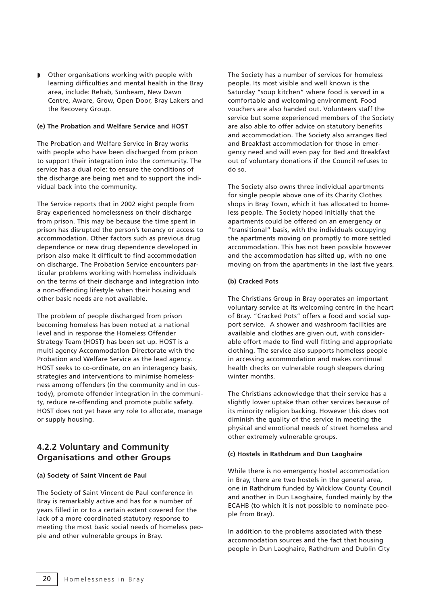Other organisations working with people with learning difficulties and mental health in the Bray area, include: Rehab, Sunbeam, New Dawn Centre, Aware, Grow, Open Door, Bray Lakers and the Recovery Group.

### **(e) The Probation and Welfare Service and HOST**

The Probation and Welfare Service in Bray works with people who have been discharged from prison to support their integration into the community. The service has a dual role: to ensure the conditions of the discharge are being met and to support the individual back into the community.

The Service reports that in 2002 eight people from Bray experienced homelessness on their discharge from prison. This may be because the time spent in prison has disrupted the person's tenancy or access to accommodation. Other factors such as previous drug dependence or new drug dependence developed in prison also make it difficult to find accommodation on discharge. The Probation Service encounters particular problems working with homeless individuals on the terms of their discharge and integration into a non-offending lifestyle when their housing and other basic needs are not available.

The problem of people discharged from prison becoming homeless has been noted at a national level and in response the Homeless Offender Strategy Team (HOST) has been set up. HOST is a multi agency Accommodation Directorate with the Probation and Welfare Service as the lead agency. HOST seeks to co-ordinate, on an interagency basis, strategies and interventions to minimise homelessness among offenders (in the community and in custody), promote offender integration in the community, reduce re-offending and promote public safety. HOST does not yet have any role to allocate, manage or supply housing.

## **4.2.2 Voluntary and Community Organisations and other Groups**

### **(a) Society of Saint Vincent de Paul**

The Society of Saint Vincent de Paul conference in Bray is remarkably active and has for a number of years filled in or to a certain extent covered for the lack of a more coordinated statutory response to meeting the most basic social needs of homeless people and other vulnerable groups in Bray.

The Society has a number of services for homeless people. Its most visible and well known is the Saturday "soup kitchen" where food is served in a comfortable and welcoming environment. Food vouchers are also handed out. Volunteers staff the service but some experienced members of the Society are also able to offer advice on statutory benefits and accommodation. The Society also arranges Bed and Breakfast accommodation for those in emergency need and will even pay for Bed and Breakfast out of voluntary donations if the Council refuses to do so.

The Society also owns three individual apartments for single people above one of its Charity Clothes shops in Bray Town, which it has allocated to homeless people. The Society hoped initially that the apartments could be offered on an emergency or "transitional" basis, with the individuals occupying the apartments moving on promptly to more settled accommodation. This has not been possible however and the accommodation has silted up, with no one moving on from the apartments in the last five years.

#### **(b) Cracked Pots**

The Christians Group in Bray operates an important voluntary service at its welcoming centre in the heart of Bray. "Cracked Pots" offers a food and social support service. A shower and washroom facilities are available and clothes are given out, with considerable effort made to find well fitting and appropriate clothing. The service also supports homeless people in accessing accommodation and makes continual health checks on vulnerable rough sleepers during winter months.

The Christians acknowledge that their service has a slightly lower uptake than other services because of its minority religion backing. However this does not diminish the quality of the service in meeting the physical and emotional needs of street homeless and other extremely vulnerable groups.

#### **(c) Hostels in Rathdrum and Dun Laoghaire**

While there is no emergency hostel accommodation in Bray, there are two hostels in the general area, one in Rathdrum funded by Wicklow County Council and another in Dun Laoghaire, funded mainly by the ECAHB (to which it is not possible to nominate people from Bray).

In addition to the problems associated with these accommodation sources and the fact that housing people in Dun Laoghaire, Rathdrum and Dublin City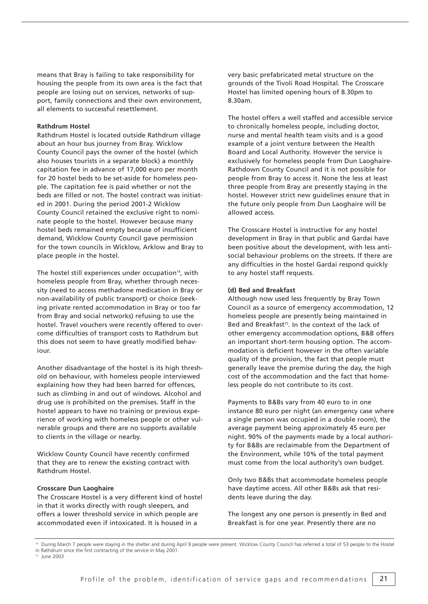means that Bray is failing to take responsibility for housing the people from its own area is the fact that people are losing out on services, networks of support, family connections and their own environment, all elements to successful resettlement.

### **Rathdrum Hostel**

Rathdrum Hostel is located outside Rathdrum village about an hour bus journey from Bray. Wicklow County Council pays the owner of the hostel (which also houses tourists in a separate block) a monthly capitation fee in advance of 17,000 euro per month for 20 hostel beds to be set-aside for homeless people. The capitation fee is paid whether or not the beds are filled or not. The hostel contract was initiated in 2001. During the period 2001-2 Wicklow County Council retained the exclusive right to nominate people to the hostel. However because many hostel beds remained empty because of insufficient demand, Wicklow County Council gave permission for the town councils in Wicklow, Arklow and Bray to place people in the hostel.

The hostel still experiences under occupation<sup>14</sup>, with homeless people from Bray, whether through necessity (need to access methadone medication in Bray or non-availability of public transport) or choice (seeking private rented accommodation in Bray or too far from Bray and social networks) refusing to use the hostel. Travel vouchers were recently offered to overcome difficulties of transport costs to Rathdrum but this does not seem to have greatly modified behaviour.

Another disadvantage of the hostel is its high threshold on behaviour, with homeless people interviewed explaining how they had been barred for offences, such as climbing in and out of windows. Alcohol and drug use is prohibited on the premises. Staff in the hostel appears to have no training or previous experience of working with homeless people or other vulnerable groups and there are no supports available to clients in the village or nearby.

Wicklow County Council have recently confirmed that they are to renew the existing contract with Rathdrum Hostel.

#### **Crosscare Dun Laoghaire**

The Crosscare Hostel is a very different kind of hostel in that it works directly with rough sleepers, and offers a lower threshold service in which people are accommodated even if intoxicated. It is housed in a

very basic prefabricated metal structure on the grounds of the Tivoli Road Hospital. The Crosscare Hostel has limited opening hours of 8.30pm to 8.30am.

The hostel offers a well staffed and accessible service to chronically homeless people, including doctor, nurse and mental health team visits and is a good example of a joint venture between the Health Board and Local Authority. However the service is exclusively for homeless people from Dun Laoghaire-Rathdown County Council and it is not possible for people from Bray to access it. None the less at least three people from Bray are presently staying in the hostel. However strict new guidelines ensure that in the future only people from Dun Laoghaire will be allowed access.

The Crosscare Hostel is instructive for any hostel development in Bray in that public and Gardai have been positive about the development, with less antisocial behaviour problems on the streets. If there are any difficulties in the hostel Gardai respond quickly to any hostel staff requests.

## **(d) Bed and Breakfast**

Although now used less frequently by Bray Town Council as a source of emergency accommodation, 12 homeless people are presently being maintained in Bed and Breakfast<sup>15</sup>. In the context of the lack of other emergency accommodation options, B&B offers an important short-term housing option. The accommodation is deficient however in the often variable quality of the provision, the fact that people must generally leave the premise during the day, the high cost of the accommodation and the fact that homeless people do not contribute to its cost.

Payments to B&Bs vary from 40 euro to in one instance 80 euro per night (an emergency case where a single person was occupied in a double room), the average payment being approximately 45 euro per night. 90% of the payments made by a local authority for B&Bs are reclaimable from the Department of the Environment, while 10% of the total payment must come from the local authority's own budget.

Only two B&Bs that accommodate homeless people have daytime access. All other B&Bs ask that residents leave during the day.

The longest any one person is presently in Bed and Breakfast is for one year. Presently there are no

During March 7 people were staying in the shelter and during April 9 people were present. Wicklow County Council has referred a total of 53 people to the Hostel in Rathdrum since the first contracting of the service in May 2001.

<sup>&</sup>lt;sup>15</sup> June 2003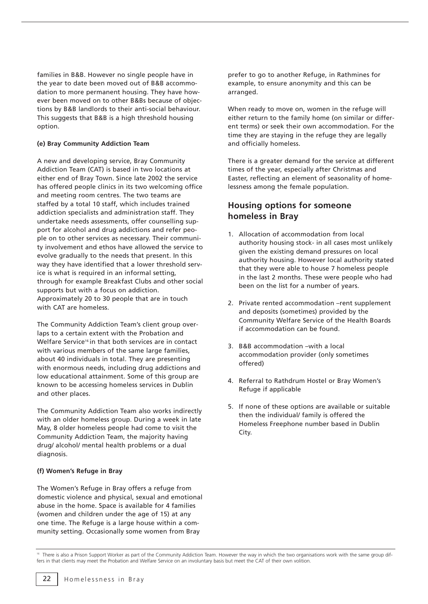families in B&B. However no single people have in the year to date been moved out of B&B accommodation to more permanent housing. They have however been moved on to other B&Bs because of objections by B&B landlords to their anti-social behaviour. This suggests that B&B is a high threshold housing option.

## **(e) Bray Community Addiction Team**

A new and developing service, Bray Community Addiction Team (CAT) is based in two locations at either end of Bray Town. Since late 2002 the service has offered people clinics in its two welcoming office and meeting room centres. The two teams are staffed by a total 10 staff, which includes trained addiction specialists and administration staff. They undertake needs assessments, offer counselling support for alcohol and drug addictions and refer people on to other services as necessary. Their community involvement and ethos have allowed the service to evolve gradually to the needs that present. In this way they have identified that a lower threshold service is what is required in an informal setting, through for example Breakfast Clubs and other social supports but with a focus on addiction. Approximately 20 to 30 people that are in touch with CAT are homeless.

The Community Addiction Team's client group overlaps to a certain extent with the Probation and Welfare Service<sup>16</sup> in that both services are in contact with various members of the same large families, about 40 individuals in total. They are presenting with enormous needs, including drug addictions and low educational attainment. Some of this group are known to be accessing homeless services in Dublin and other places.

The Community Addiction Team also works indirectly with an older homeless group. During a week in late May, 8 older homeless people had come to visit the Community Addiction Team, the majority having drug/ alcohol/ mental health problems or a dual diagnosis.

## **(f) Women's Refuge in Bray**

The Women's Refuge in Bray offers a refuge from domestic violence and physical, sexual and emotional abuse in the home. Space is available for 4 families (women and children under the age of 15) at any one time. The Refuge is a large house within a community setting. Occasionally some women from Bray

prefer to go to another Refuge, in Rathmines for example, to ensure anonymity and this can be arranged.

When ready to move on, women in the refuge will either return to the family home (on similar or different terms) or seek their own accommodation. For the time they are staying in the refuge they are legally and officially homeless.

There is a greater demand for the service at different times of the year, especially after Christmas and Easter, reflecting an element of seasonality of homelessness among the female population.

## **Housing options for someone homeless in Bray**

- 1. Allocation of accommodation from local authority housing stock- in all cases most unlikely given the existing demand pressures on local authority housing. However local authority stated that they were able to house 7 homeless people in the last 2 months. These were people who had been on the list for a number of years.
- 2. Private rented accommodation –rent supplement and deposits (sometimes) provided by the Community Welfare Service of the Health Boards if accommodation can be found.
- 3. B&B accommodation –with a local accommodation provider (only sometimes offered)
- 4. Referral to Rathdrum Hostel or Bray Women's Refuge if applicable
- 5. If none of these options are available or suitable then the individual/ family is offered the Homeless Freephone number based in Dublin City.

<sup>&</sup>lt;sup>16</sup> There is also a Prison Support Worker as part of the Community Addiction Team. However the way in which the two organisations work with the same group differs in that clients may meet the Probation and Welfare Service on an involuntary basis but meet the CAT of their own volition.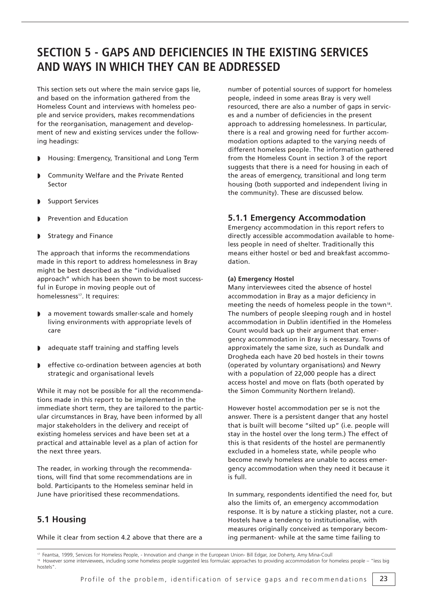# **SECTION 5 - GAPS AND DEFICIENCIES IN THE EXISTING SERVICES AND WAYS IN WHICH THEY CAN BE ADDRESSED**

This section sets out where the main service gaps lie, and based on the information gathered from the Homeless Count and interviews with homeless people and service providers, makes recommendations for the reorganisation, management and development of new and existing services under the following headings:

- ◗ Housing: Emergency, Transitional and Long Term
- ◗ Community Welfare and the Private Rented Sector
- **Support Services**
- ◗ Prevention and Education
- Strategy and Finance

The approach that informs the recommendations made in this report to address homelessness in Bray might be best described as the "individualised approach" which has been shown to be most successful in Europe in moving people out of homelessness<sup>17</sup>. It requires:

- a movement towards smaller-scale and homely living environments with appropriate levels of care
- ◗ adequate staff training and staffing levels
- ◗ effective co-ordination between agencies at both strategic and organisational levels

While it may not be possible for all the recommendations made in this report to be implemented in the immediate short term, they are tailored to the particular circumstances in Bray, have been informed by all major stakeholders in the delivery and receipt of existing homeless services and have been set at a practical and attainable level as a plan of action for the next three years.

The reader, in working through the recommendations, will find that some recommendations are in bold. Participants to the Homeless seminar held in June have prioritised these recommendations.

## **5.1 Housing**

While it clear from section 4.2 above that there are a

number of potential sources of support for homeless people, indeed in some areas Bray is very well resourced, there are also a number of gaps in services and a number of deficiencies in the present approach to addressing homelessness. In particular, there is a real and growing need for further accommodation options adapted to the varying needs of different homeless people. The information gathered from the Homeless Count in section 3 of the report suggests that there is a need for housing in each of the areas of emergency, transitional and long term housing (both supported and independent living in the community). These are discussed below.

## **5.1.1 Emergency Accommodation**

Emergency accommodation in this report refers to directly accessible accommodation available to homeless people in need of shelter. Traditionally this means either hostel or bed and breakfast accommodation.

## **(a) Emergency Hostel**

Many interviewees cited the absence of hostel accommodation in Bray as a major deficiency in meeting the needs of homeless people in the town<sup>18</sup>. The numbers of people sleeping rough and in hostel accommodation in Dublin identified in the Homeless Count would back up their argument that emergency accommodation in Bray is necessary. Towns of approximately the same size, such as Dundalk and Drogheda each have 20 bed hostels in their towns (operated by voluntary organisations) and Newry with a population of 22,000 people has a direct access hostel and move on flats (both operated by the Simon Community Northern Ireland).

However hostel accommodation per se is not the answer. There is a persistent danger that any hostel that is built will become "silted up" (i.e. people will stay in the hostel over the long term.) The effect of this is that residents of the hostel are permanently excluded in a homeless state, while people who become newly homeless are unable to access emergency accommodation when they need it because it is full.

In summary, respondents identified the need for, but also the limits of, an emergency accommodation response. It is by nature a sticking plaster, not a cure. Hostels have a tendency to institutionalise, with measures originally conceived as temporary becoming permanent- while at the same time failing to

<sup>&</sup>lt;sup>17</sup> Feantsa, 1999, Services for Homeless People, - Innovation and change in the European Union- Bill Edgar, Joe Doherty, Amy Mina-Coull<br><sup>18</sup> However some interviewees, including some homeless people suggested less formula hostels".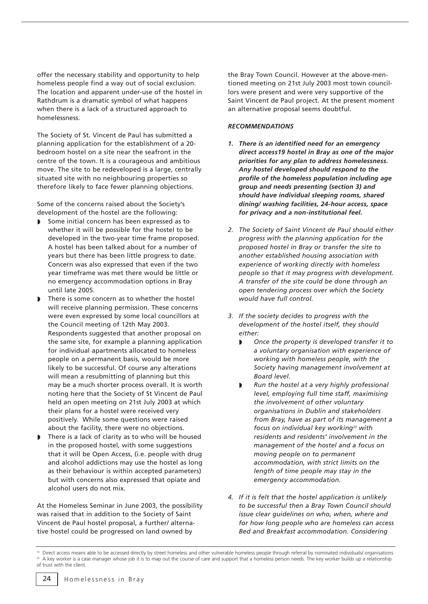offer the necessary stability and opportunity to help homeless people find a way out of social exclusion. The location and apparent under-use of the hostel in Rathdrum is a dramatic symbol of what happens when there is a lack of a structured approach to homelessness.

The Society of St. Vincent de Paul has submitted a planning application for the establishment of a 20 bedroom hostel on a site near the seafront in the centre of the town. It is a courageous and ambitious move. The site to be redeveloped is a large, centrally situated site with no neighbouring properties so therefore likely to face fewer planning objections.

Some of the concerns raised about the Society's development of the hostel are the following:

- Some initial concern has been expressed as to whether it will be possible for the hostel to be developed in the two-year time frame proposed. A hostel has been talked about for a number of years but there has been little progress to date. Concern was also expressed that even if the two year timeframe was met there would be little or no emergency accommodation options in Bray until late 2005.
- There is some concern as to whether the hostel will receive planning permission. These concerns were even expressed by some local councillors at the Council meeting of 12th May 2003. Respondents suggested that another proposal on the same site, for example a planning application for individual apartments allocated to homeless people on a permanent basis, would be more likely to be successful. Of course any alterations will mean a resubmitting of planning but this may be a much shorter process overall. It is worth noting here that the Society of St Vincent de Paul held an open meeting on 21st July 2003 at which their plans for a hostel were received very positively. While some questions were raised about the facility, there were no objections.
- There is a lack of clarity as to who will be housed in the proposed hostel, with some suggestions that it will be Open Access, (i.e. people with drug and alcohol addictions may use the hostel as long as their behaviour is within accepted parameters) but with concerns also expressed that opiate and alcohol users do not mix.

At the Homeless Seminar in June 2003, the possibility was raised that in addition to the Society of Saint Vincent de Paul hostel proposal, a further/ alternative hostel could be progressed on land owned by

the Bray Town Council. However at the above-mentioned meeting on 21st July 2003 most town councillors were present and were very supportive of the Saint Vincent de Paul project. At the present moment an alternative proposal seems doubtful.

## *RECOMMENDATIONS*

- *1. There is an identified need for an emergency direct access19 hostel in Bray as one of the major priorities for any plan to address homelessness. Any hostel developed should respond to the profile of the homeless population including age group and needs presenting (section 3) and should have individual sleeping rooms, shared dining/ washing facilities, 24-hour access, space for privacy and a non-institutional feel.*
- *2. The Society of Saint Vincent de Paul should either progress with the planning application for the proposed hostel in Bray or transfer the site to another established housing association with experience of working directly with homeless people so that it may progress with development. A transfer of the site could be done through an open tendering process over which the Society would have full control.*
- *3. If the society decides to progress with the development of the hostel itself, they should either:*
	- ◗ *Once the property is developed transfer it to a voluntary organisation with experience of working with homeless people, with the Society having management involvement at Board level.*
	- ◗ *Run the hostel at a very highly professional level, employing full time staff, maximising the involvement of other voluntary organisations in Dublin and stakeholders from Bray, have as part of its management a focus on individual key working20 with residents and residents' involvement in the management of the hostel and a focus on moving people on to permanent accommodation, with strict limits on the length of time people may stay in the emergency accommodation.*
- *4. If it is felt that the hostel application is unlikely to be successful then a Bray Town Council should issue clear guidelines on who, when, where and for how long people who are homeless can access Bed and Breakfast accommodation. Considering*

<sup>19</sup> Direct access means able to be accessed directly by street homeless and other vulnerable homeless people through referral by nominated individuals/ organisations A key worker is a case manager whose job it is to map out the course of care and support that a homeless person needs. The key worker builds up a relationship of trust with the client.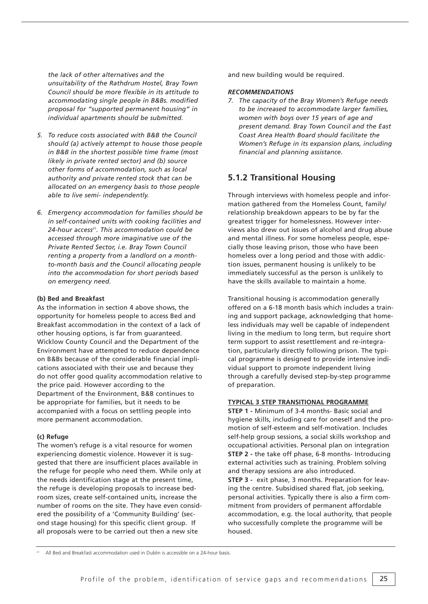*the lack of other alternatives and the unsuitability of the Rathdrum Hostel, Bray Town Council should be more flexible in its attitude to accommodating single people in B&Bs. modified proposal for "supported permanent housing" in individual apartments should be submitted.* 

- *5. To reduce costs associated with B&B the Council should (a) actively attempt to house those people in B&B in the shortest possible time frame (most likely in private rented sector) and (b) source other forms of accommodation, such as local authority and private rented stock that can be allocated on an emergency basis to those people able to live semi- independently.*
- *6. Emergency accommodation for families should be in self-contained units with cooking facilities and 24-hour access21. This accommodation could be accessed through more imaginative use of the Private Rented Sector, i.e. Bray Town Council renting a property from a landlord on a monthto-month basis and the Council allocating people into the accommodation for short periods based on emergency need.*

## **(b) Bed and Breakfast**

As the information in section 4 above shows, the opportunity for homeless people to access Bed and Breakfast accommodation in the context of a lack of other housing options, is far from guaranteed. Wicklow County Council and the Department of the Environment have attempted to reduce dependence on B&Bs because of the considerable financial implications associated with their use and because they do not offer good quality accommodation relative to the price paid. However according to the Department of the Environment, B&B continues to be appropriate for families, but it needs to be accompanied with a focus on settling people into more permanent accommodation.

#### **(c) Refuge**

The women's refuge is a vital resource for women experiencing domestic violence. However it is suggested that there are insufficient places available in the refuge for people who need them. While only at the needs identification stage at the present time, the refuge is developing proposals to increase bedroom sizes, create self-contained units, increase the number of rooms on the site. They have even considered the possibility of a 'Community Building' (second stage housing) for this specific client group. If all proposals were to be carried out then a new site

and new building would be required.

#### *RECOMMENDATIONS*

*7. The capacity of the Bray Women's Refuge needs to be increased to accommodate larger families, women with boys over 15 years of age and present demand. Bray Town Council and the East Coast Area Health Board should facilitate the Women's Refuge in its expansion plans, including financial and planning assistance.*

## **5.1.2 Transitional Housing**

Through interviews with homeless people and information gathered from the Homeless Count, family/ relationship breakdown appears to be by far the greatest trigger for homelessness. However interviews also drew out issues of alcohol and drug abuse and mental illness. For some homeless people, especially those leaving prison, those who have been homeless over a long period and those with addiction issues, permanent housing is unlikely to be immediately successful as the person is unlikely to have the skills available to maintain a home.

Transitional housing is accommodation generally offered on a 6-18 month basis which includes a training and support package, acknowledging that homeless individuals may well be capable of independent living in the medium to long term, but require short term support to assist resettlement and re-integration, particularly directly following prison. The typical programme is designed to provide intensive individual support to promote independent living through a carefully devised step-by-step programme of preparation.

#### **TYPICAL 3 STEP TRANSITIONAL PROGRAMME**

**STEP 1 -** Minimum of 3-4 months- Basic social and hygiene skills, including care for oneself and the promotion of self-esteem and self-motivation. Includes self-help group sessions, a social skills workshop and occupational activities. Personal plan on integration **STEP 2 -** the take off phase, 6-8 months- Introducing external activities such as training. Problem solving and therapy sessions are also introduced. **STEP 3 -** exit phase, 3 months. Preparation for leaving the centre. Subsidised shared flat, job seeking, personal activities. Typically there is also a firm commitment from providers of permanent affordable accommodation, e.g. the local authority, that people who successfully complete the programme will be housed.

All Bed and Breakfast accommodation used in Dublin is accessible on a 24-hour basis.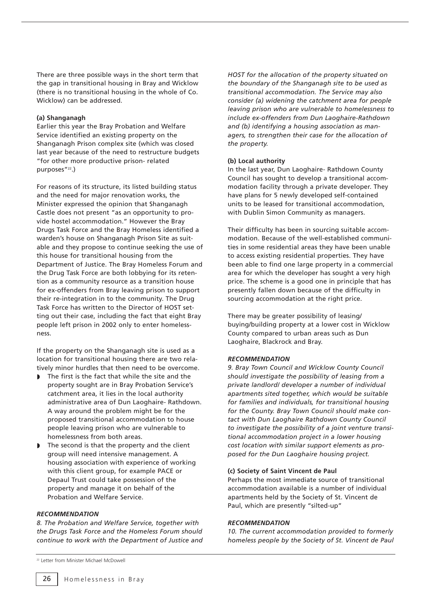There are three possible ways in the short term that the gap in transitional housing in Bray and Wicklow (there is no transitional housing in the whole of Co. Wicklow) can be addressed.

### **(a) Shanganagh**

Earlier this year the Bray Probation and Welfare Service identified an existing property on the Shanganagh Prison complex site (which was closed last year because of the need to restructure budgets "for other more productive prison- related purposes"<sup>22</sup>.)

For reasons of its structure, its listed building status and the need for major renovation works, the Minister expressed the opinion that Shanganagh Castle does not present "as an opportunity to provide hostel accommodation." However the Bray Drugs Task Force and the Bray Homeless identified a warden's house on Shanganagh Prison Site as suitable and they propose to continue seeking the use of this house for transitional housing from the Department of Justice. The Bray Homeless Forum and the Drug Task Force are both lobbying for its retention as a community resource as a transition house for ex-offenders from Bray leaving prison to support their re-integration in to the community. The Drug Task Force has written to the Director of HOST setting out their case, including the fact that eight Bray people left prison in 2002 only to enter homelessness.

If the property on the Shanganagh site is used as a location for transitional housing there are two relatively minor hurdles that then need to be overcome.

- The first is the fact that while the site and the property sought are in Bray Probation Service's catchment area, it lies in the local authority administrative area of Dun Laoghaire- Rathdown. A way around the problem might be for the proposed transitional accommodation to house people leaving prison who are vulnerable to homelessness from both areas.
- The second is that the property and the client group will need intensive management. A housing association with experience of working with this client group, for example PACE or Depaul Trust could take possession of the property and manage it on behalf of the Probation and Welfare Service.

## *RECOMMENDATION*

*8. The Probation and Welfare Service, together with the Drugs Task Force and the Homeless Forum should continue to work with the Department of Justice and*

*HOST for the allocation of the property situated on the boundary of the Shanganagh site to be used as transitional accommodation. The Service may also consider (a) widening the catchment area for people leaving prison who are vulnerable to homelessness to include ex-offenders from Dun Laoghaire-Rathdown and (b) identifying a housing association as managers, to strengthen their case for the allocation of the property.* 

#### **(b) Local authority**

In the last year, Dun Laoghaire- Rathdown County Council has sought to develop a transitional accommodation facility through a private developer. They have plans for 5 newly developed self-contained units to be leased for transitional accommodation, with Dublin Simon Community as managers.

Their difficulty has been in sourcing suitable accommodation. Because of the well-established communities in some residential areas they have been unable to access existing residential properties. They have been able to find one large property in a commercial area for which the developer has sought a very high price. The scheme is a good one in principle that has presently fallen down because of the difficulty in sourcing accommodation at the right price.

There may be greater possibility of leasing/ buying/building property at a lower cost in Wicklow County compared to urban areas such as Dun Laoghaire, Blackrock and Bray.

#### *RECOMMENDATION*

*9. Bray Town Council and Wicklow County Council should investigate the possibility of leasing from a private landlord/ developer a number of individual apartments sited together, which would be suitable for families and individuals, for transitional housing for the County. Bray Town Council should make contact with Dun Laoghaire Rathdown County Council to investigate the possibility of a joint venture transitional accommodation project in a lower housing cost location with similar support elements as proposed for the Dun Laoghaire housing project.*

#### **(c) Society of Saint Vincent de Paul**

Perhaps the most immediate source of transitional accommodation available is a number of individual apartments held by the Society of St. Vincent de Paul, which are presently "silted-up"

## *RECOMMENDATION*

*10. The current accommodation provided to formerly homeless people by the Society of St. Vincent de Paul* 

<sup>22</sup> Letter from Minister Michael McDowell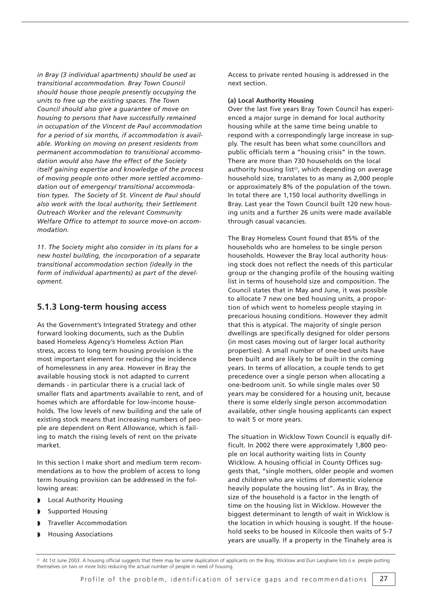*in Bray (3 individual apartments) should be used as transitional accommodation. Bray Town Council should house those people presently occupying the units to free up the existing spaces. The Town Council should also give a guarantee of move on housing to persons that have successfully remained in occupation of the Vincent de Paul accommodation for a period of six months, if accommodation is available. Working on moving on present residents from permanent accommodation to transitional accommodation would also have the effect of the Society itself gaining expertise and knowledge of the process of moving people onto other more settled accommodation out of emergency/ transitional accommodation types. The Society of St. Vincent de Paul should also work with the local authority, their Settlement Outreach Worker and the relevant Community Welfare Office to attempt to source move-on accommodation.* 

*11. The Society might also consider in its plans for a new hostel building, the incorporation of a separate transitional accommodation section (ideally in the form of individual apartments) as part of the development.* 

## **5.1.3 Long-term housing access**

As the Government's Integrated Strategy and other forward looking documents, such as the Dublin based Homeless Agency's Homeless Action Plan stress, access to long term housing provision is the most important element for reducing the incidence of homelessness in any area. However in Bray the available housing stock is not adapted to current demands - in particular there is a crucial lack of smaller flats and apartments available to rent, and of homes which are affordable for low-income households. The low levels of new building and the sale of existing stock means that increasing numbers of people are dependent on Rent Allowance, which is failing to match the rising levels of rent on the private market.

In this section I make short and medium term recommendations as to how the problem of access to long term housing provision can be addressed in the following areas:

- ◗ Local Authority Housing
- Supported Housing
- ◗ Traveller Accommodation
- ◗ Housing Associations

Access to private rented housing is addressed in the next section.

#### **(a) Local Authority Housing**

Over the last five years Bray Town Council has experienced a major surge in demand for local authority housing while at the same time being unable to respond with a correspondingly large increase in supply. The result has been what some councillors and public officials term a "housing crisis" in the town. There are more than 730 households on the local authority housing list<sup>23</sup>, which depending on average household size, translates to as many as 2,000 people or approximately 8% of the population of the town. In total there are 1,150 local authority dwellings in Bray. Last year the Town Council built 120 new housing units and a further 26 units were made available through casual vacancies.

The Bray Homeless Count found that 85% of the households who are homeless to be single person households. However the Bray local authority housing stock does not reflect the needs of this particular group or the changing profile of the housing waiting list in terms of household size and composition. The Council states that in May and June, it was possible to allocate 7 new one bed housing units, a proportion of which went to homeless people staying in precarious housing conditions. However they admit that this is atypical. The majority of single person dwellings are specifically designed for older persons (in most cases moving out of larger local authority properties). A small number of one-bed units have been built and are likely to be built in the coming years. In terms of allocation, a couple tends to get precedence over a single person when allocating a one-bedroom unit. So while single males over 50 years may be considered for a housing unit, because there is some elderly single person accommodation available, other single housing applicants can expect to wait 5 or more years.

The situation in Wicklow Town Council is equally difficult. In 2002 there were approximately 1,800 people on local authority waiting lists in County Wicklow. A housing official in County Offices suggests that, "single mothers, older people and women and children who are victims of domestic violence heavily populate the housing list". As in Bray, the size of the household is a factor in the length of time on the housing list in Wicklow. However the biggest determinant to length of wait in Wicklow is the location in which housing is sought. If the household seeks to be housed in Kilcoole then waits of 5-7 years are usually. If a property in the Tinahely area is

At 1st June 2003. A housing official suggests that there may be some duplication of applicants on the Bray, Wicklow and Dun Laoghaire lists (i.e. people putting themselves on two or more lists) reducing the actual number of people in need of housing.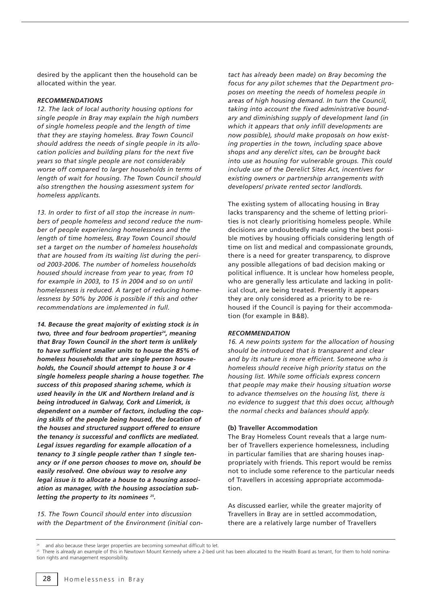desired by the applicant then the household can be allocated within the year.

#### *RECOMMENDATIONS*

*12. The lack of local authority housing options for single people in Bray may explain the high numbers of single homeless people and the length of time that they are staying homeless. Bray Town Council should address the needs of single people in its allocation policies and building plans for the next five years so that single people are not considerably worse off compared to larger households in terms of length of wait for housing. The Town Council should also strengthen the housing assessment system for homeless applicants.* 

*13. In order to first of all stop the increase in numbers of people homeless and second reduce the number of people experiencing homelessness and the length of time homeless, Bray Town Council should set a target on the number of homeless households that are housed from its waiting list during the period 2003-2006. The number of homeless households housed should increase from year to year, from 10 for example in 2003, to 15 in 2004 and so on until homelessness is reduced. A target of reducing homelessness by 50% by 2006 is possible if this and other recommendations are implemented in full.* 

*14. Because the great majority of existing stock is in* two, three and four bedroom properties<sup>24</sup>, meaning *that Bray Town Council in the short term is unlikely to have sufficient smaller units to house the 85% of homeless households that are single person households, the Council should attempt to house 3 or 4 single homeless people sharing a house together. The success of this proposed sharing scheme, which is used heavily in the UK and Northern Ireland and is being introduced in Galway, Cork and Limerick, is dependent on a number of factors, including the coping skills of the people being housed, the location of the houses and structured support offered to ensure the tenancy is successful and conflicts are mediated. Legal issues regarding for example allocation of a tenancy to 3 single people rather than 1 single tenancy or if one person chooses to move on, should be easily resolved. One obvious way to resolve any legal issue is to allocate a house to a housing association as manager, with the housing association subletting the property to its nominees 25.* 

*15. The Town Council should enter into discussion with the Department of the Environment (initial con-* *tact has already been made) on Bray becoming the focus for any pilot schemes that the Department proposes on meeting the needs of homeless people in areas of high housing demand. In turn the Council, taking into account the fixed administrative boundary and diminishing supply of development land (in which it appears that only infill developments are now possible), should make proposals on how existing properties in the town, including space above shops and any derelict sites, can be brought back into use as housing for vulnerable groups. This could include use of the Derelict Sites Act, incentives for existing owners or partnership arrangements with developers/ private rented sector landlords.* 

The existing system of allocating housing in Bray lacks transparency and the scheme of letting priorities is not clearly prioritising homeless people. While decisions are undoubtedly made using the best possible motives by housing officials considering length of time on list and medical and compassionate grounds, there is a need for greater transparency, to disprove any possible allegations of bad decision making or political influence. It is unclear how homeless people, who are generally less articulate and lacking in political clout, are being treated. Presently it appears they are only considered as a priority to be rehoused if the Council is paying for their accommodation (for example in B&B).

#### *RECOMMENDATION*

*16. A new points system for the allocation of housing should be introduced that is transparent and clear and by its nature is more efficient. Someone who is homeless should receive high priority status on the housing list. While some officials express concern that people may make their housing situation worse to advance themselves on the housing list, there is no evidence to suggest that this does occur, although the normal checks and balances should apply.*

#### **(b) Traveller Accommodation**

The Bray Homeless Count reveals that a large number of Travellers experience homelessness, including in particular families that are sharing houses inappropriately with friends. This report would be remiss not to include some reference to the particular needs of Travellers in accessing appropriate accommodation.

As discussed earlier, while the greater majority of Travellers in Bray are in settled accommodation, there are a relatively large number of Travellers

and also because these larger properties are becoming somewhat difficult to let.

<sup>&</sup>lt;sup>25</sup> There is already an example of this in Newtown Mount Kennedy where a 2-bed unit has been allocated to the Health Board as tenant, for them to hold nomination rights and management responsibility.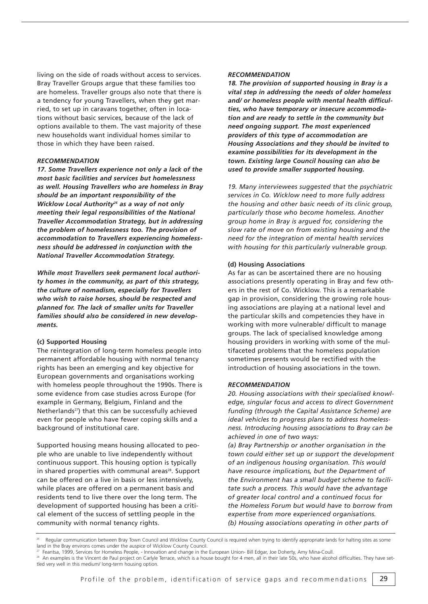living on the side of roads without access to services. Bray Traveller Groups argue that these families too are homeless. Traveller groups also note that there is a tendency for young Travellers, when they get married, to set up in caravans together, often in locations without basic services, because of the lack of options available to them. The vast majority of these new households want individual homes similar to those in which they have been raised.

#### *RECOMMENDATION*

*17. Some Travellers experience not only a lack of the most basic facilities and services but homelessness as well. Housing Travellers who are homeless in Bray should be an important responsibility of the Wicklow Local Authority26 as a way of not only meeting their legal responsibilities of the National Traveller Accommodation Strategy, but in addressing the problem of homelessness too. The provision of accommodation to Travellers experiencing homelessness should be addressed in conjunction with the National Traveller Accommodation Strategy.* 

*While most Travellers seek permanent local authority homes in the community, as part of this strategy, the culture of nomadism, especially for Travellers who wish to raise horses, should be respected and planned for. The lack of smaller units for Traveller families should also be considered in new developments.* 

#### **(c) Supported Housing**

The reintegration of long-term homeless people into permanent affordable housing with normal tenancy rights has been an emerging and key objective for European governments and organisations working with homeless people throughout the 1990s. There is some evidence from case studies across Europe (for example in Germany, Belgium, Finland and the Netherlands<sup>27</sup>) that this can be successfully achieved even for people who have fewer coping skills and a background of institutional care.

Supported housing means housing allocated to people who are unable to live independently without continuous support. This housing option is typically in shared properties with communal areas<sup>28</sup>. Support can be offered on a live in basis or less intensively, while places are offered on a permanent basis and residents tend to live there over the long term. The development of supported housing has been a critical element of the success of settling people in the community with normal tenancy rights.

#### *RECOMMENDATION*

*18. The provision of supported housing in Bray is a vital step in addressing the needs of older homeless and/ or homeless people with mental health difficulties, who have temporary or insecure accommodation and are ready to settle in the community but need ongoing support. The most experienced providers of this type of accommodation are Housing Associations and they should be invited to examine possibilities for its development in the town. Existing large Council housing can also be used to provide smaller supported housing.* 

*19. Many interviewees suggested that the psychiatric services in Co. Wicklow need to more fully address the housing and other basic needs of its clinic group, particularly those who become homeless. Another group home in Bray is argued for, considering the slow rate of move on from existing housing and the need for the integration of mental health services with housing for this particularly vulnerable group.* 

#### **(d) Housing Associations**

As far as can be ascertained there are no housing associations presently operating in Bray and few others in the rest of Co. Wicklow. This is a remarkable gap in provision, considering the growing role housing associations are playing at a national level and the particular skills and competencies they have in working with more vulnerable/ difficult to manage groups. The lack of specialised knowledge among housing providers in working with some of the multifaceted problems that the homeless population sometimes presents would be rectified with the introduction of housing associations in the town.

#### *RECOMMENDATION*

*20. Housing associations with their specialised knowledge, singular focus and access to direct Government funding (through the Capital Assistance Scheme) are ideal vehicles to progress plans to address homelessness. Introducing housing associations to Bray can be achieved in one of two ways:* 

*(a) Bray Partnership or another organisation in the town could either set up or support the development of an indigenous housing organisation. This would have resource implications, but the Department of the Environment has a small budget scheme to facilitate such a process. This would have the advantage of greater local control and a continued focus for the Homeless Forum but would have to borrow from expertise from more experienced organisations. (b) Housing associations operating in other parts of* 

Regular communication between Bray Town Council and Wicklow County Council is required when trying to identify appropriate lands for halting sites as some land in the Bray environs comes under the auspice of Wicklow County Council.

Feantsa, 1999, Services for Homeless People, - Innovation and change in the European Union- Bill Edgar, Joe Doherty, Amy Mina-Coull.<br>An examples is the Vincent de Paul project on Carlyle Terrace, which is a house bought fo tled very well in this medium/ long-term housing option.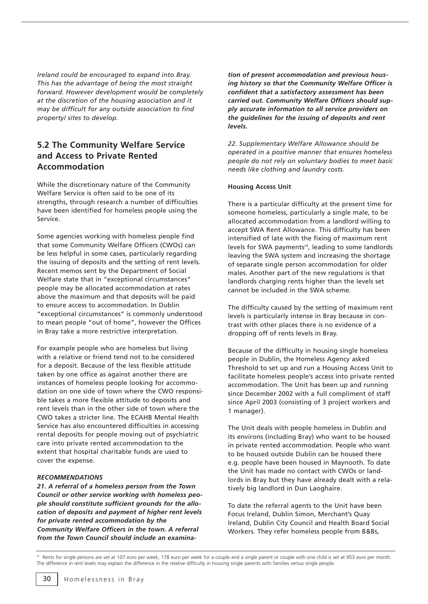*Ireland could be encouraged to expand into Bray. This has the advantage of being the most straight forward. However development would be completely at the discretion of the housing association and it may be difficult for any outside association to find property/ sites to develop.* 

## **5.2 The Community Welfare Service and Access to Private Rented Accommodation**

While the discretionary nature of the Community Welfare Service is often said to be one of its strengths, through research a number of difficulties have been identified for homeless people using the Service.

Some agencies working with homeless people find that some Community Welfare Officers (CWOs) can be less helpful in some cases, particularly regarding the issuing of deposits and the setting of rent levels. Recent memos sent by the Department of Social Welfare state that in "exceptional circumstances" people may be allocated accommodation at rates above the maximum and that deposits will be paid to ensure access to accommodation. In Dublin "exceptional circumstances" is commonly understood to mean people "out of home", however the Offices in Bray take a more restrictive interpretation.

For example people who are homeless but living with a relative or friend tend not to be considered for a deposit. Because of the less flexible attitude taken by one office as against another there are instances of homeless people looking for accommodation on one side of town where the CWO responsible takes a more flexible attitude to deposits and rent levels than in the other side of town where the CWO takes a stricter line. The ECAHB Mental Health Service has also encountered difficulties in accessing rental deposits for people moving out of psychiatric care into private rented accommodation to the extent that hospital charitable funds are used to cover the expense.

## *RECOMMENDATIONS*

*21. A referral of a homeless person from the Town Council or other service working with homeless people should constitute sufficient grounds for the allocation of deposits and payment of higher rent levels for private rented accommodation by the Community Welfare Officers in the town. A referral from the Town Council should include an examina-* *tion of present accommodation and previous housing history so that the Community Welfare Officer is confident that a satisfactory assessment has been carried out. Community Welfare Officers should supply accurate information to all service providers on the guidelines for the issuing of deposits and rent levels.* 

*22. Supplementary Welfare Allowance should be operated in a positive manner that ensures homeless people do not rely on voluntary bodies to meet basic needs like clothing and laundry costs.* 

#### **Housing Access Unit**

There is a particular difficulty at the present time for someone homeless, particularly a single male, to be allocated accommodation from a landlord willing to accept SWA Rent Allowance. This difficulty has been intensified of late with the fixing of maximum rent levels for SWA payments<sup>29</sup>, leading to some landlords leaving the SWA system and increasing the shortage of separate single person accommodation for older males. Another part of the new regulations is that landlords charging rents higher than the levels set cannot be included in the SWA scheme.

The difficulty caused by the setting of maximum rent levels is particularly intense in Bray because in contrast with other places there is no evidence of a dropping off of rents levels in Bray.

Because of the difficulty in housing single homeless people in Dublin, the Homeless Agency asked Threshold to set up and run a Housing Access Unit to facilitate homeless people's access into private rented accommodation. The Unit has been up and running since December 2002 with a full compliment of staff since April 2003 (consisting of 3 project workers and 1 manager).

The Unit deals with people homeless in Dublin and its environs (including Bray) who want to be housed in private rented accommodation. People who want to be housed outside Dublin can be housed there e.g. people have been housed in Maynooth. To date the Unit has made no contact with CWOs or landlords in Bray but they have already dealt with a relatively big landlord in Dun Laoghaire.

To date the referral agents to the Unit have been Focus Ireland, Dublin Simon, Merchant's Quay Ireland, Dublin City Council and Health Board Social Workers. They refer homeless people from B&Bs,

<sup>&</sup>lt;sup>29</sup> Rents for single persons are set at 107 euro per week, 178 euro per week for a couple and a single parent or couple with one child is set at 953 euro per month. The difference in rent levels may explain the difference in the relative difficulty in housing single parents with families versus single people.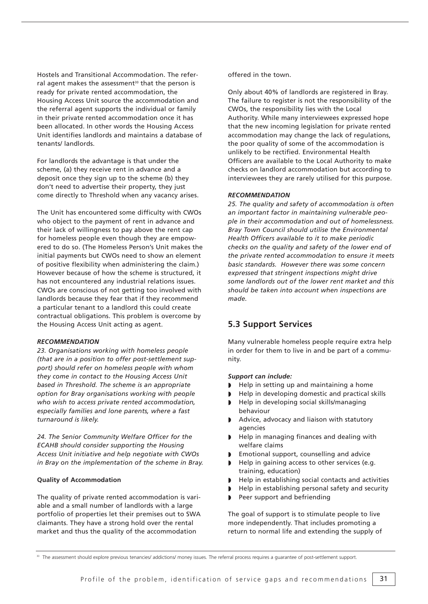Hostels and Transitional Accommodation. The referral agent makes the assessment<sup>30</sup> that the person is ready for private rented accommodation, the Housing Access Unit source the accommodation and the referral agent supports the individual or family in their private rented accommodation once it has been allocated. In other words the Housing Access Unit identifies landlords and maintains a database of tenants/ landlords.

For landlords the advantage is that under the scheme, (a) they receive rent in advance and a deposit once they sign up to the scheme (b) they don't need to advertise their property, they just come directly to Threshold when any vacancy arises.

The Unit has encountered some difficulty with CWOs who object to the payment of rent in advance and their lack of willingness to pay above the rent cap for homeless people even though they are empowered to do so. (The Homeless Person's Unit makes the initial payments but CWOs need to show an element of positive flexibility when administering the claim.) However because of how the scheme is structured, it has not encountered any industrial relations issues. CWOs are conscious of not getting too involved with landlords because they fear that if they recommend a particular tenant to a landlord this could create contractual obligations. This problem is overcome by the Housing Access Unit acting as agent.

#### *RECOMMENDATION*

*23. Organisations working with homeless people (that are in a position to offer post-settlement support) should refer on homeless people with whom they come in contact to the Housing Access Unit based in Threshold. The scheme is an appropriate option for Bray organisations working with people who wish to access private rented accommodation, especially families and lone parents, where a fast turnaround is likely.* 

*24. The Senior Community Welfare Officer for the ECAHB should consider supporting the Housing Access Unit initiative and help negotiate with CWOs in Bray on the implementation of the scheme in Bray.* 

## **Quality of Accommodation**

The quality of private rented accommodation is variable and a small number of landlords with a large portfolio of properties let their premises out to SWA claimants. They have a strong hold over the rental market and thus the quality of the accommodation

offered in the town.

Only about 40% of landlords are registered in Bray. The failure to register is not the responsibility of the CWOs, the responsibility lies with the Local Authority. While many interviewees expressed hope that the new incoming legislation for private rented accommodation may change the lack of regulations, the poor quality of some of the accommodation is unlikely to be rectified. Environmental Health Officers are available to the Local Authority to make checks on landlord accommodation but according to interviewees they are rarely utilised for this purpose.

#### *RECOMMENDATION*

*25. The quality and safety of accommodation is often an important factor in maintaining vulnerable people in their accommodation and out of homelessness. Bray Town Council should utilise the Environmental Health Officers available to it to make periodic checks on the quality and safety of the lower end of the private rented accommodation to ensure it meets basic standards. However there was some concern expressed that stringent inspections might drive some landlords out of the lower rent market and this should be taken into account when inspections are made.* 

## **5.3 Support Services**

Many vulnerable homeless people require extra help in order for them to live in and be part of a community.

#### *Support can include:*

- ◗ Help in setting up and maintaining a home
- ◗ Help in developing domestic and practical skills
- ◗ Help in developing social skills/managing behaviour
- ◗ Advice, advocacy and liaison with statutory agencies
- ◗ Help in managing finances and dealing with welfare claims
- ◗ Emotional support, counselling and advice
- ◗ Help in gaining access to other services (e.g. training, education)
- ◗ Help in establishing social contacts and activities
- ◗ Help in establishing personal safety and security
- ◗ Peer support and befriending

The goal of support is to stimulate people to live more independently. That includes promoting a return to normal life and extending the supply of

<sup>30</sup> The assessment should explore previous tenancies/ addictions/ money issues. The referral process requires a guarantee of post-settlement support.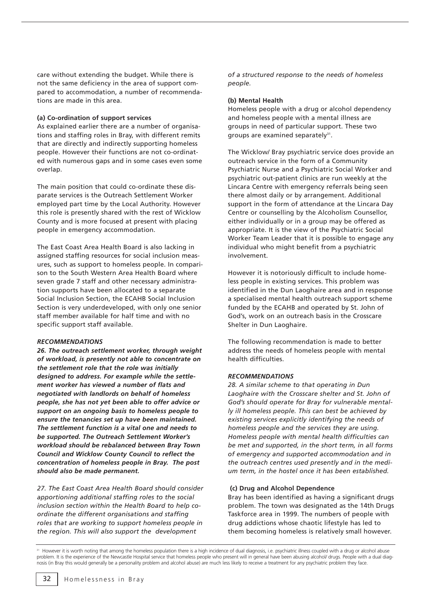care without extending the budget. While there is not the same deficiency in the area of support compared to accommodation, a number of recommendations are made in this area.

#### **(a) Co-ordination of support services**

As explained earlier there are a number of organisations and staffing roles in Bray, with different remits that are directly and indirectly supporting homeless people. However their functions are not co-ordinated with numerous gaps and in some cases even some overlap.

The main position that could co-ordinate these disparate services is the Outreach Settlement Worker employed part time by the Local Authority. However this role is presently shared with the rest of Wicklow County and is more focused at present with placing people in emergency accommodation.

The East Coast Area Health Board is also lacking in assigned staffing resources for social inclusion measures, such as support to homeless people. In comparison to the South Western Area Health Board where seven grade 7 staff and other necessary administration supports have been allocated to a separate Social Inclusion Section, the ECAHB Social Inclusion Section is very underdeveloped, with only one senior staff member available for half time and with no specific support staff available.

## *RECOMMENDATIONS*

*26. The outreach settlement worker, through weight of workload, is presently not able to concentrate on the settlement role that the role was initially designed to address. For example while the settlement worker has viewed a number of flats and negotiated with landlords on behalf of homeless people, she has not yet been able to offer advice or support on an ongoing basis to homeless people to ensure the tenancies set up have been maintained. The settlement function is a vital one and needs to be supported. The Outreach Settlement Worker's workload should be rebalanced between Bray Town Council and Wicklow County Council to reflect the concentration of homeless people in Bray. The post should also be made permanent.* 

*27. The East Coast Area Health Board should consider apportioning additional staffing roles to the social inclusion section within the Health Board to help coordinate the different organisations and staffing roles that are working to support homeless people in the region. This will also support the development*

*of a structured response to the needs of homeless people.* 

## **(b) Mental Health**

Homeless people with a drug or alcohol dependency and homeless people with a mental illness are groups in need of particular support. These two groups are examined separately<sup>31</sup>.

The Wicklow/ Bray psychiatric service does provide an outreach service in the form of a Community Psychiatric Nurse and a Psychiatric Social Worker and psychiatric out-patient clinics are run weekly at the Lincara Centre with emergency referrals being seen there almost daily or by arrangement. Additional support in the form of attendance at the Lincara Day Centre or counselling by the Alcoholism Counsellor, either individually or in a group may be offered as appropriate. It is the view of the Psychiatric Social Worker Team Leader that it is possible to engage any individual who might benefit from a psychiatric involvement.

However it is notoriously difficult to include homeless people in existing services. This problem was identified in the Dun Laoghaire area and in response a specialised mental health outreach support scheme funded by the ECAHB and operated by St. John of God's, work on an outreach basis in the Crosscare Shelter in Dun Laoghaire.

The following recommendation is made to better address the needs of homeless people with mental health difficulties.

## *RECOMMENDATIONS*

*28. A similar scheme to that operating in Dun Laoghaire with the Crosscare shelter and St. John of God's should operate for Bray for vulnerable mentally ill homeless people. This can best be achieved by existing services explicitly identifying the needs of homeless people and the services they are using. Homeless people with mental health difficulties can be met and supported, in the short term, in all forms of emergency and supported accommodation and in the outreach centres used presently and in the medium term, in the hostel once it has been established.*

#### **(c) Drug and Alcohol Dependence**

Bray has been identified as having a significant drugs problem. The town was designated as the 14th Drugs Taskforce area in 1999. The numbers of people with drug addictions whose chaotic lifestyle has led to them becoming homeless is relatively small however.

<sup>&</sup>lt;sup>31</sup> However it is worth noting that among the homeless population there is a high incidence of dual diagnosis, i.e. psychiatric illness coupled with a drug or alcohol abuse problem. It is the experience of the Newcastle Hospital service that homeless people who present will in general have been abusing alcohol/ drugs. People with a dual diagnosis (in Bray this would generally be a personality problem and alcohol abuse) are much less likely to receive a treatment for any psychiatric problem they face.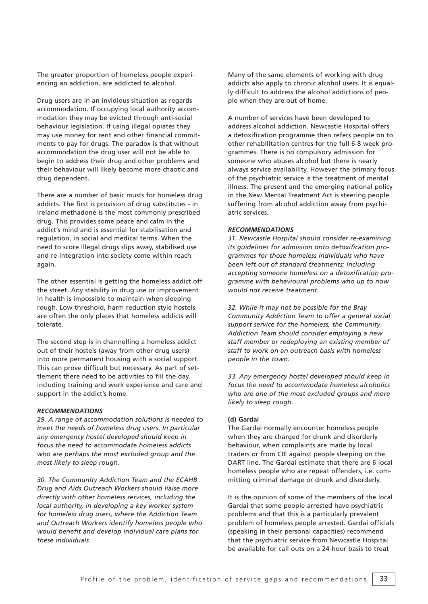The greater proportion of homeless people experiencing an addiction, are addicted to alcohol.

Drug users are in an invidious situation as regards accommodation. If occupying local authority accommodation they may be evicted through anti-social behaviour legislation. If using illegal opiates they may use money for rent and other financial commitments to pay for drugs. The paradox is that without accommodation the drug user will not be able to begin to address their drug and other problems and their behaviour will likely become more chaotic and drug dependent.

There are a number of basic musts for homeless drug addicts. The first is provision of drug substitutes - in Ireland methadone is the most commonly prescribed drug. This provides some peace and calm in the addict's mind and is essential for stabilisation and regulation, in social and medical terms. When the need to score illegal drugs slips away, stabilised use and re-integration into society come within reach again.

The other essential is getting the homeless addict off the street. Any stability in drug use or improvement in health is impossible to maintain when sleeping rough. Low threshold, harm reduction style hostels are often the only places that homeless addicts will tolerate.

The second step is in channelling a homeless addict out of their hostels (away from other drug users) into more permanent housing with a social support. This can prove difficult but necessary. As part of settlement there need to be activities to fill the day, including training and work experience and care and support in the addict's home.

#### *RECOMMENDATIONS*

*29. A range of accommodation solutions is needed to meet the needs of homeless drug users. In particular any emergency hostel developed should keep in focus the need to accommodate homeless addicts who are perhaps the most excluded group and the most likely to sleep rough.* 

*30. The Community Addiction Team and the ECAHB Drug and Aids Outreach Workers should liaise more directly with other homeless services, including the local authority, in developing a key worker system for homeless drug users, where the Addiction Team and Outreach Workers identify homeless people who would benefit and develop individual care plans for these individuals.* 

Many of the same elements of working with drug addicts also apply to chronic alcohol users. It is equally difficult to address the alcohol addictions of people when they are out of home.

A number of services have been developed to address alcohol addiction. Newcastle Hospital offers a detoxification programme then refers people on to other rehabilitation centres for the full 6-8 week programmes. There is no compulsory admission for someone who abuses alcohol but there is nearly always service availability. However the primary focus of the psychiatric service is the treatment of mental illness. The present and the emerging national policy in the New Mental Treatment Act is steering people suffering from alcohol addiction away from psychiatric services.

### *RECOMMENDATIONS*

*31. Newcastle Hospital should consider re-examining its guidelines for admission onto detoxification programmes for those homeless individuals who have been left out of standard treatments; including accepting someone homeless on a detoxification programme with behavioural problems who up to now would not receive treatment.*

*32. While it may not be possible for the Bray Community Addiction Team to offer a general social support service for the homeless, the Community Addiction Team should consider employing a new staff member or redeploying an existing member of staff to work on an outreach basis with homeless people in the town.*

*33. Any emergency hostel developed should keep in focus the need to accommodate homeless alcoholics who are one of the most excluded groups and more likely to sleep rough.* 

#### **(d) Gardai**

The Gardai normally encounter homeless people when they are charged for drunk and disorderly behaviour, when complaints are made by local traders or from CIE against people sleeping on the DART line. The Gardai estimate that there are 6 local homeless people who are repeat offenders, i.e. committing criminal damage or drunk and disorderly.

It is the opinion of some of the members of the local Gardai that some people arrested have psychiatric problems and that this is a particularly prevalent problem of homeless people arrested. Gardai officials (speaking in their personal capacities) recommend that the psychiatric service from Newcastle Hospital be available for call outs on a 24-hour basis to treat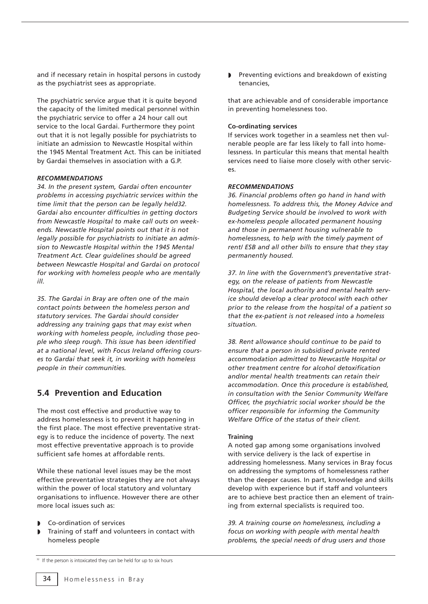and if necessary retain in hospital persons in custody as the psychiatrist sees as appropriate.

The psychiatric service argue that it is quite beyond the capacity of the limited medical personnel within the psychiatric service to offer a 24 hour call out service to the local Gardai. Furthermore they point out that it is not legally possible for psychiatrists to initiate an admission to Newcastle Hospital within the 1945 Mental Treatment Act. This can be initiated by Gardai themselves in association with a G.P.

## *RECOMMENDATIONS*

*34. In the present system, Gardai often encounter problems in accessing psychiatric services within the time limit that the person can be legally held32. Gardai also encounter difficulties in getting doctors from Newcastle Hospital to make call outs on weekends. Newcastle Hospital points out that it is not legally possible for psychiatrists to initiate an admission to Newcastle Hospital within the 1945 Mental Treatment Act. Clear guidelines should be agreed between Newcastle Hospital and Gardai on protocol for working with homeless people who are mentally ill.*

*35. The Gardai in Bray are often one of the main contact points between the homeless person and statutory services. The Gardai should consider addressing any training gaps that may exist when working with homeless people, including those people who sleep rough. This issue has been identified at a national level, with Focus Ireland offering courses to Gardai that seek it, in working with homeless people in their communities.* 

## **5.4 Prevention and Education**

The most cost effective and productive way to address homelessness is to prevent it happening in the first place. The most effective preventative strategy is to reduce the incidence of poverty. The next most effective preventative approach is to provide sufficient safe homes at affordable rents.

While these national level issues may be the most effective preventative strategies they are not always within the power of local statutory and voluntary organisations to influence. However there are other more local issues such as:

- ◗ Co-ordination of services
- ◗ Training of staff and volunteers in contact with homeless people

◗ Preventing evictions and breakdown of existing tenancies,

that are achievable and of considerable importance in preventing homelessness too.

### **Co-ordinating services**

If services work together in a seamless net then vulnerable people are far less likely to fall into homelessness. In particular this means that mental health services need to liaise more closely with other services.

### *RECOMMENDATIONS*

*36. Financial problems often go hand in hand with homelessness. To address this, the Money Advice and Budgeting Service should be involved to work with ex-homeless people allocated permanent housing and those in permanent housing vulnerable to homelessness, to help with the timely payment of rent/ ESB and all other bills to ensure that they stay permanently housed.* 

*37. In line with the Government's preventative strategy, on the release of patients from Newcastle Hospital, the local authority and mental health service should develop a clear protocol with each other prior to the release from the hospital of a patient so that the ex-patient is not released into a homeless situation.*

*38. Rent allowance should continue to be paid to ensure that a person in subsidised private rented accommodation admitted to Newcastle Hospital or other treatment centre for alcohol detoxification and/or mental health treatments can retain their accommodation. Once this procedure is established, in consultation with the Senior Community Welfare Officer, the psychiatric social worker should be the officer responsible for informing the Community Welfare Office of the status of their client.*

## **Training**

A noted gap among some organisations involved with service delivery is the lack of expertise in addressing homelessness. Many services in Bray focus on addressing the symptoms of homelessness rather than the deeper causes. In part, knowledge and skills develop with experience but if staff and volunteers are to achieve best practice then an element of training from external specialists is required too.

*39. A training course on homelessness, including a focus on working with people with mental health problems, the special needs of drug users and those* 

<sup>&</sup>lt;sup>32</sup> If the person is intoxicated they can be held for up to six hours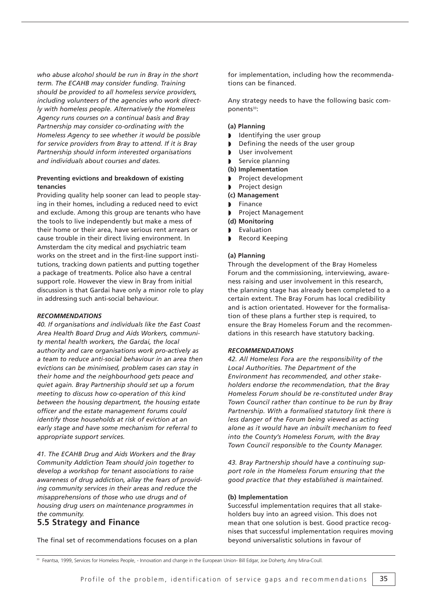*who abuse alcohol should be run in Bray in the short term. The ECAHB may consider funding. Training should be provided to all homeless service providers, including volunteers of the agencies who work directly with homeless people. Alternatively the Homeless Agency runs courses on a continual basis and Bray Partnership may consider co-ordinating with the Homeless Agency to see whether it would be possible for service providers from Bray to attend. If it is Bray Partnership should inform interested organisations and individuals about courses and dates.* 

## **Preventing evictions and breakdown of existing tenancies**

Providing quality help sooner can lead to people staying in their homes, including a reduced need to evict and exclude. Among this group are tenants who have the tools to live independently but make a mess of their home or their area, have serious rent arrears or cause trouble in their direct living environment. In Amsterdam the city medical and psychiatric team works on the street and in the first-line support institutions, tracking down patients and putting together a package of treatments. Police also have a central support role. However the view in Bray from initial discussion is that Gardai have only a minor role to play in addressing such anti-social behaviour.

## *RECOMMENDATIONS*

*40. If organisations and individuals like the East Coast Area Health Board Drug and Aids Workers, community mental health workers, the Gardai, the local authority and care organisations work pro-actively as a team to reduce anti-social behaviour in an area then evictions can be minimised, problem cases can stay in their home and the neighbourhood gets peace and quiet again. Bray Partnership should set up a forum meeting to discuss how co-operation of this kind between the housing department, the housing estate officer and the estate management forums could identify those households at risk of eviction at an early stage and have some mechanism for referral to appropriate support services.* 

*41. The ECAHB Drug and Aids Workers and the Bray Community Addiction Team should join together to develop a workshop for tenant associations to raise awareness of drug addiction, allay the fears of providing community services in their areas and reduce the misapprehensions of those who use drugs and of housing drug users on maintenance programmes in the community.* 

## **5.5 Strategy and Finance**

The final set of recommendations focuses on a plan

for implementation, including how the recommendations can be financed.

Any strategy needs to have the following basic components<sup>33</sup>:

#### **(a) Planning**

- ◗ Identifying the user group
- ◗ Defining the needs of the user group
- User involvement
- Service planning
- **(b) Implementation**
- ◗ Project development
- ◗ Project design
- **(c) Management**
- **Finance**
- ◗ Project Management
- **(d) Monitoring**
- **Evaluation**
- ◗ Record Keeping

#### **(a) Planning**

Through the development of the Bray Homeless Forum and the commissioning, interviewing, awareness raising and user involvement in this research, the planning stage has already been completed to a certain extent. The Bray Forum has local credibility and is action orientated. However for the formalisation of these plans a further step is required, to ensure the Bray Homeless Forum and the recommendations in this research have statutory backing.

#### *RECOMMENDATIONS*

*42. All Homeless Fora are the responsibility of the Local Authorities. The Department of the Environment has recommended, and other stakeholders endorse the recommendation, that the Bray Homeless Forum should be re-constituted under Bray Town Council rather than continue to be run by Bray Partnership. With a formalised statutory link there is less danger of the Forum being viewed as acting alone as it would have an inbuilt mechanism to feed into the County's Homeless Forum, with the Bray Town Council responsible to the County Manager.* 

*43. Bray Partnership should have a continuing support role in the Homeless Forum ensuring that the good practice that they established is maintained.* 

#### **(b) Implementation**

Successful implementation requires that all stakeholders buy into an agreed vision. This does not mean that one solution is best. Good practice recognises that successful implementation requires moving beyond universalistic solutions in favour of

<sup>33</sup> Feantsa, 1999, Services for Homeless People, - Innovation and change in the European Union- Bill Edgar, Joe Doherty, Amy Mina-Coull.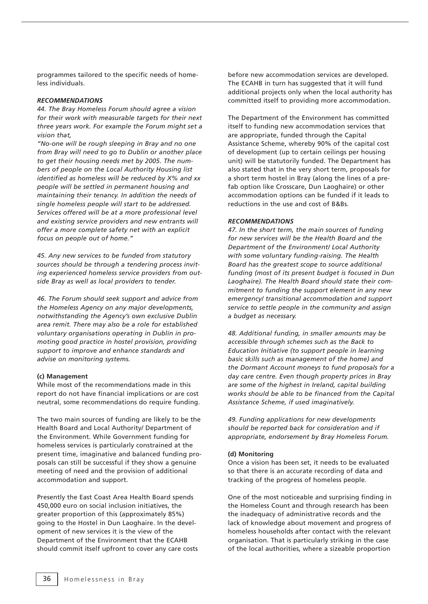programmes tailored to the specific needs of homeless individuals.

#### *RECOMMENDATIONS*

*44. The Bray Homeless Forum should agree a vision for their work with measurable targets for their next three years work. For example the Forum might set a vision that,*

*"No-one will be rough sleeping in Bray and no one from Bray will need to go to Dublin or another place to get their housing needs met by 2005. The numbers of people on the Local Authority Housing list identified as homeless will be reduced by X% and xx people will be settled in permanent housing and maintaining their tenancy. In addition the needs of single homeless people will start to be addressed. Services offered will be at a more professional level and existing service providers and new entrants will offer a more complete safety net with an explicit focus on people out of home."*

*45. Any new services to be funded from statutory sources should be through a tendering process inviting experienced homeless service providers from outside Bray as well as local providers to tender.* 

*46. The Forum should seek support and advice from the Homeless Agency on any major developments, notwithstanding the Agency's own exclusive Dublin area remit. There may also be a role for established voluntary organisations operating in Dublin in promoting good practice in hostel provision, providing support to improve and enhance standards and advise on monitoring systems.* 

#### **(c) Management**

While most of the recommendations made in this report do not have financial implications or are cost neutral, some recommendations do require funding.

The two main sources of funding are likely to be the Health Board and Local Authority/ Department of the Environment. While Government funding for homeless services is particularly constrained at the present time, imaginative and balanced funding proposals can still be successful if they show a genuine meeting of need and the provision of additional accommodation and support.

Presently the East Coast Area Health Board spends 450,000 euro on social inclusion initiatives, the greater proportion of this (approximately 85%) going to the Hostel in Dun Laoghaire. In the development of new services it is the view of the Department of the Environment that the ECAHB should commit itself upfront to cover any care costs before new accommodation services are developed. The ECAHB in turn has suggested that it will fund additional projects only when the local authority has committed itself to providing more accommodation.

The Department of the Environment has committed itself to funding new accommodation services that are appropriate, funded through the Capital Assistance Scheme, whereby 90% of the capital cost of development (up to certain ceilings per housing unit) will be statutorily funded. The Department has also stated that in the very short term, proposals for a short term hostel in Bray (along the lines of a prefab option like Crosscare, Dun Laoghaire) or other accommodation options can be funded if it leads to reductions in the use and cost of B&Bs.

#### *RECOMMENDATIONS*

*47. In the short term, the main sources of funding for new services will be the Health Board and the Department of the Environment/ Local Authority with some voluntary funding-raising. The Health Board has the greatest scope to source additional funding (most of its present budget is focused in Dun Laoghaire). The Health Board should state their commitment to funding the support element in any new emergency/ transitional accommodation and support service to settle people in the community and assign a budget as necessary.* 

*48. Additional funding, in smaller amounts may be accessible through schemes such as the Back to Education Initiative (to support people in learning basic skills such as management of the home) and the Dormant Account moneys to fund proposals for a day care centre. Even though property prices in Bray are some of the highest in Ireland, capital building works should be able to be financed from the Capital Assistance Scheme, if used imaginatively.* 

*49. Funding applications for new developments should be reported back for consideration and if appropriate, endorsement by Bray Homeless Forum.* 

### **(d) Monitoring**

Once a vision has been set, it needs to be evaluated so that there is an accurate recording of data and tracking of the progress of homeless people.

One of the most noticeable and surprising finding in the Homeless Count and through research has been the inadequacy of administrative records and the lack of knowledge about movement and progress of homeless households after contact with the relevant organisation. That is particularly striking in the case of the local authorities, where a sizeable proportion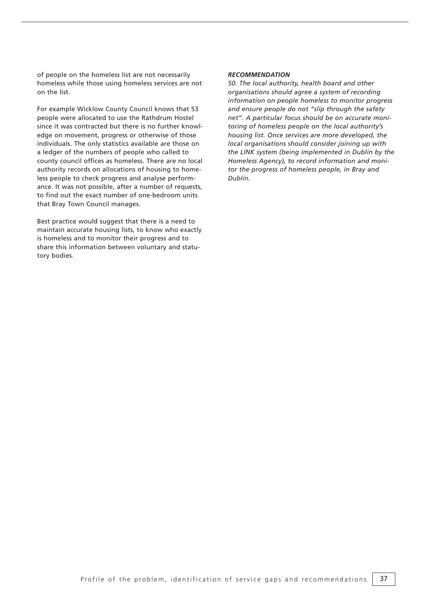of people on the homeless list are not necessarily homeless while those using homeless services are not on the list.

For example Wicklow County Council knows that 53 people were allocated to use the Rathdrum Hostel since it was contracted but there is no further knowledge on movement, progress or otherwise of those individuals. The only statistics available are those on a ledger of the numbers of people who called to county council offices as homeless. There are no local authority records on allocations of housing to homeless people to check progress and analyse performance. It was not possible, after a number of requests, to find out the exact number of one-bedroom units that Bray Town Council manages.

Best practice would suggest that there is a need to maintain accurate housing lists, to know who exactly is homeless and to monitor their progress and to share this information between voluntary and statutory bodies.

#### *RECOMMENDATION*

*50. The local authority, health board and other organisations should agree a system of recording information on people homeless to monitor progress and ensure people do not "slip through the safety net". A particular focus should be on accurate monitoring of homeless people on the local authority's housing list. Once services are more developed, the local organisations should consider joining up with the LINK system (being implemented in Dublin by the Homeless Agency), to record information and monitor the progress of homeless people, in Bray and Dublin.*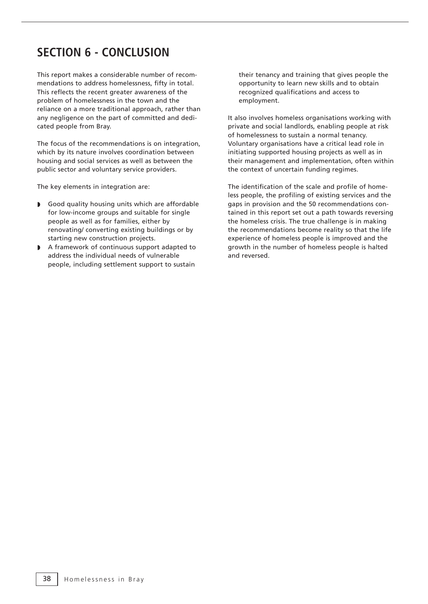# **SECTION 6 - CONCLUSION**

This report makes a considerable number of recommendations to address homelessness, fifty in total. This reflects the recent greater awareness of the problem of homelessness in the town and the reliance on a more traditional approach, rather than any negligence on the part of committed and dedicated people from Bray.

The focus of the recommendations is on integration, which by its nature involves coordination between housing and social services as well as between the public sector and voluntary service providers.

The key elements in integration are:

- ◗ Good quality housing units which are affordable for low-income groups and suitable for single people as well as for families, either by renovating/ converting existing buildings or by starting new construction projects.
- ◗ A framework of continuous support adapted to address the individual needs of vulnerable people, including settlement support to sustain

their tenancy and training that gives people the opportunity to learn new skills and to obtain recognized qualifications and access to employment.

It also involves homeless organisations working with private and social landlords, enabling people at risk of homelessness to sustain a normal tenancy. Voluntary organisations have a critical lead role in initiating supported housing projects as well as in their management and implementation, often within the context of uncertain funding regimes.

The identification of the scale and profile of homeless people, the profiling of existing services and the gaps in provision and the 50 recommendations contained in this report set out a path towards reversing the homeless crisis. The true challenge is in making the recommendations become reality so that the life experience of homeless people is improved and the growth in the number of homeless people is halted and reversed.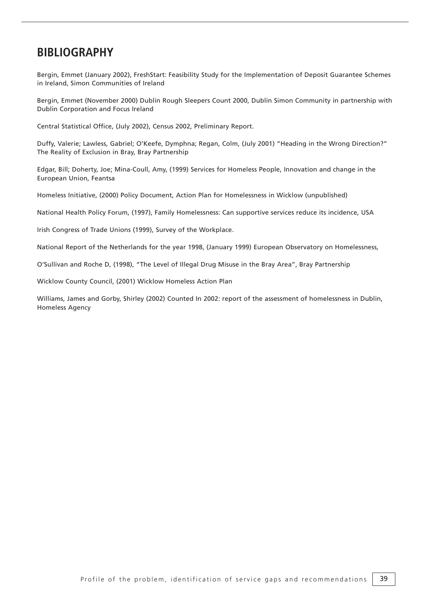## **BIBLIOGRAPHY**

Bergin, Emmet (January 2002), FreshStart: Feasibility Study for the Implementation of Deposit Guarantee Schemes in Ireland, Simon Communities of Ireland

Bergin, Emmet (November 2000) Dublin Rough Sleepers Count 2000, Dublin Simon Community in partnership with Dublin Corporation and Focus Ireland

Central Statistical Office, (July 2002), Census 2002, Preliminary Report.

Duffy, Valerie; Lawless, Gabriel; O'Keefe, Dymphna; Regan, Colm, (July 2001) "Heading in the Wrong Direction?" The Reality of Exclusion in Bray, Bray Partnership

Edgar, Bill; Doherty, Joe; Mina-Coull, Amy, (1999) Services for Homeless People, Innovation and change in the European Union, Feantsa

Homeless Initiative, (2000) Policy Document, Action Plan for Homelessness in Wicklow (unpublished)

National Health Policy Forum, (1997), Family Homelessness: Can supportive services reduce its incidence, USA

Irish Congress of Trade Unions (1999), Survey of the Workplace.

National Report of the Netherlands for the year 1998, (January 1999) European Observatory on Homelessness,

O'Sullivan and Roche D, (1998), "The Level of Illegal Drug Misuse in the Bray Area", Bray Partnership

Wicklow County Council, (2001) Wicklow Homeless Action Plan

Williams, James and Gorby, Shirley (2002) Counted In 2002: report of the assessment of homelessness in Dublin, Homeless Agency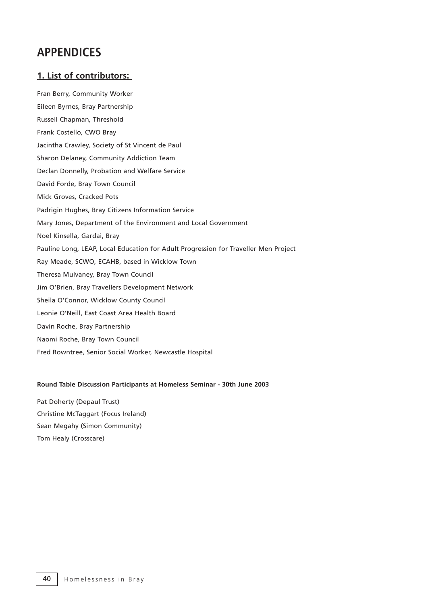## **APPENDICES**

## **1. List of contributors:**

Fran Berry, Community Worker Eileen Byrnes, Bray Partnership Russell Chapman, Threshold Frank Costello, CWO Bray Jacintha Crawley, Society of St Vincent de Paul Sharon Delaney, Community Addiction Team Declan Donnelly, Probation and Welfare Service David Forde, Bray Town Council Mick Groves, Cracked Pots Padrigin Hughes, Bray Citizens Information Service Mary Jones, Department of the Environment and Local Government Noel Kinsella, Gardai, Bray Pauline Long, LEAP, Local Education for Adult Progression for Traveller Men Project Ray Meade, SCWO, ECAHB, based in Wicklow Town Theresa Mulvaney, Bray Town Council Jim O'Brien, Bray Travellers Development Network Sheila O'Connor, Wicklow County Council Leonie O'Neill, East Coast Area Health Board Davin Roche, Bray Partnership Naomi Roche, Bray Town Council Fred Rowntree, Senior Social Worker, Newcastle Hospital

## **Round Table Discussion Participants at Homeless Seminar - 30th June 2003**

Pat Doherty (Depaul Trust) Christine McTaggart (Focus Ireland) Sean Megahy (Simon Community) Tom Healy (Crosscare)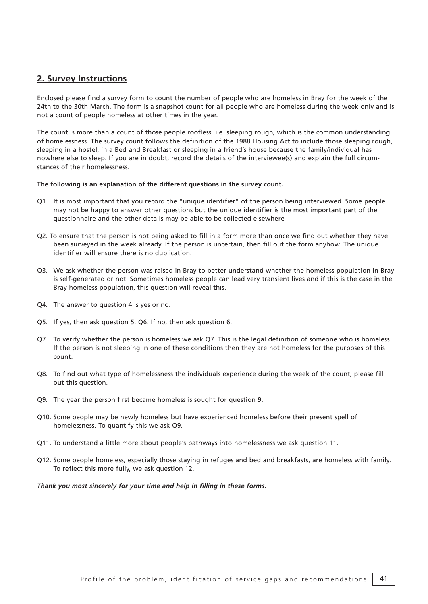## **2. Survey Instructions**

Enclosed please find a survey form to count the number of people who are homeless in Bray for the week of the 24th to the 30th March. The form is a snapshot count for all people who are homeless during the week only and is not a count of people homeless at other times in the year.

The count is more than a count of those people roofless, i.e. sleeping rough, which is the common understanding of homelessness. The survey count follows the definition of the 1988 Housing Act to include those sleeping rough, sleeping in a hostel, in a Bed and Breakfast or sleeping in a friend's house because the family/individual has nowhere else to sleep. If you are in doubt, record the details of the interviewee(s) and explain the full circumstances of their homelessness.

## **The following is an explanation of the different questions in the survey count.**

- Q1. It is most important that you record the "unique identifier" of the person being interviewed. Some people may not be happy to answer other questions but the unique identifier is the most important part of the questionnaire and the other details may be able to be collected elsewhere
- Q2. To ensure that the person is not being asked to fill in a form more than once we find out whether they have been surveyed in the week already. If the person is uncertain, then fill out the form anyhow. The unique identifier will ensure there is no duplication.
- Q3. We ask whether the person was raised in Bray to better understand whether the homeless population in Bray is self-generated or not. Sometimes homeless people can lead very transient lives and if this is the case in the Bray homeless population, this question will reveal this.
- Q4. The answer to question 4 is yes or no.
- Q5. If yes, then ask question 5. Q6. If no, then ask question 6.
- Q7. To verify whether the person is homeless we ask Q7. This is the legal definition of someone who is homeless. If the person is not sleeping in one of these conditions then they are not homeless for the purposes of this count.
- Q8. To find out what type of homelessness the individuals experience during the week of the count, please fill out this question.
- Q9. The year the person first became homeless is sought for question 9.
- Q10. Some people may be newly homeless but have experienced homeless before their present spell of homelessness. To quantify this we ask Q9.
- Q11. To understand a little more about people's pathways into homelessness we ask question 11.
- Q12. Some people homeless, especially those staying in refuges and bed and breakfasts, are homeless with family. To reflect this more fully, we ask question 12.

#### *Thank you most sincerely for your time and help in filling in these forms.*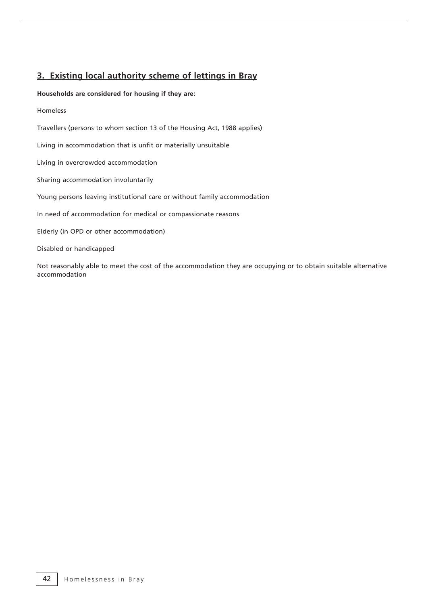## **3. Existing local authority scheme of lettings in Bray**

## **Households are considered for housing if they are:**

## Homeless

Travellers (persons to whom section 13 of the Housing Act, 1988 applies)

Living in accommodation that is unfit or materially unsuitable

Living in overcrowded accommodation

Sharing accommodation involuntarily

Young persons leaving institutional care or without family accommodation

In need of accommodation for medical or compassionate reasons

Elderly (in OPD or other accommodation)

Disabled or handicapped

Not reasonably able to meet the cost of the accommodation they are occupying or to obtain suitable alternative accommodation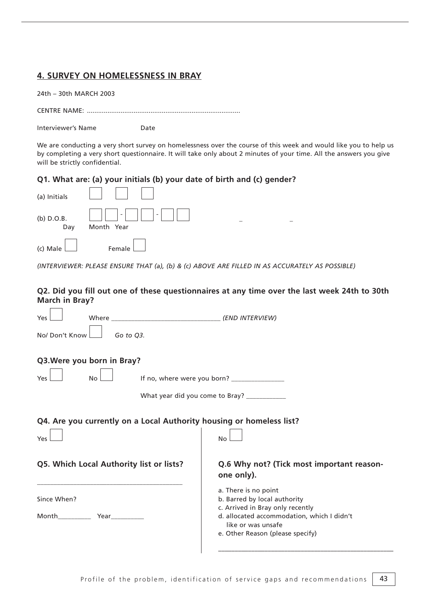## **4. SURVEY ON HOMELESSNESS IN BRAY**

|  | 24th - 30th MARCH 2003 |  |
|--|------------------------|--|
|  |                        |  |

CENTRE NAME: ..................................................................................

Interviewer's Name<br>
Date

We are conducting a very short survey on homelessness over the course of this week and would like you to help us by completing a very short questionnaire. It will take only about 2 minutes of your time. All the answers you give will be strictly confidential.

## **Q1. What are: (a) your initials (b) your date of birth and (c) gender?**

| (a) Initials        |                                                                                                                                   |
|---------------------|-----------------------------------------------------------------------------------------------------------------------------------|
| $(b)$ D.O.B.<br>Day | -      -      <br>Month Year                                                                                                      |
|                     | $\begin{array}{c} \hline \end{array}$ (c) Male $\begin{array}{c} \hline \end{array}$ Female $\begin{array}{c} \hline \end{array}$ |

*(INTERVIEWER: PLEASE ENSURE THAT (a), (b) & (c) ABOVE ARE FILLED IN AS ACCURATELY AS POSSIBLE)*

## **Q2. Did you fill out one of these questionnaires at any time over the last week 24th to 30th March in Bray?**

| Yes                                                                                                               |                                                                                   | Where (END INTERVIEW) |                                                                                                                                                                                                  |  |  |
|-------------------------------------------------------------------------------------------------------------------|-----------------------------------------------------------------------------------|-----------------------|--------------------------------------------------------------------------------------------------------------------------------------------------------------------------------------------------|--|--|
| No/ Don't Know I                                                                                                  | Go to Q3.                                                                         |                       |                                                                                                                                                                                                  |  |  |
| Q3. Were you born in Bray?<br>Yes <sup>1</sup><br>No <sub>1</sub><br>What year did you come to Bray? ____________ |                                                                                   |                       |                                                                                                                                                                                                  |  |  |
| Yes                                                                                                               | Q4. Are you currently on a Local Authority housing or homeless list?<br><b>No</b> |                       |                                                                                                                                                                                                  |  |  |
|                                                                                                                   | Q5. Which Local Authority list or lists?                                          |                       | Q.6 Why not? (Tick most important reason-<br>one only).                                                                                                                                          |  |  |
| Since When?                                                                                                       | Month Year Year                                                                   |                       | a. There is no point<br>b. Barred by local authority<br>c. Arrived in Bray only recently<br>d. allocated accommodation, which I didn't<br>like or was unsafe<br>e. Other Reason (please specify) |  |  |

–––––––––––––––––––––––––––––––––––––––––––––––––––––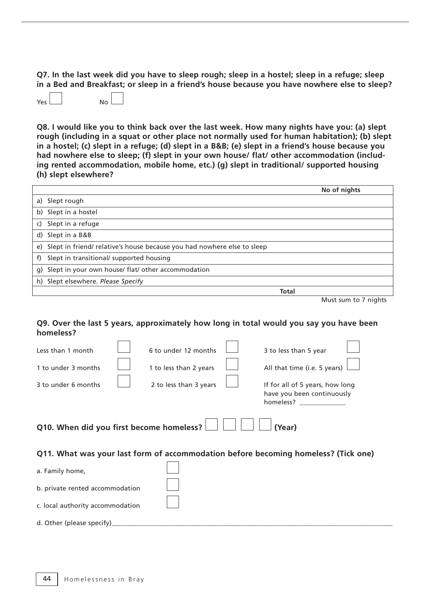**Q7. In the last week did you have to sleep rough; sleep in a hostel; sleep in a refuge; sleep in a Bed and Breakfast; or sleep in a friend's house because you have nowhere else to sleep?** 

Yes

**Q8. I would like you to think back over the last week. How many nights have you: (a) slept rough (including in a squat or other place not normally used for human habitation); (b) slept in a hostel; (c) slept in a refuge; (d) slept in a B&B; (e) slept in a friend's house because you had nowhere else to sleep; (f) slept in your own house/ flat/ other accommodation (including rented accommodation, mobile home, etc.) (g) slept in traditional/ supported housing (h) slept elsewhere?**

|                |                                                                           |              | No of nights         |
|----------------|---------------------------------------------------------------------------|--------------|----------------------|
|                | a) Slept rough                                                            |              |                      |
|                | b) Slept in a hostel                                                      |              |                      |
| $\overline{c}$ | Slept in a refuge                                                         |              |                      |
|                | d) Slept in a B&B                                                         |              |                      |
|                | e) Slept in friend/relative's house because you had nowhere else to sleep |              |                      |
| f)             | Slept in transitional/ supported housing                                  |              |                      |
| q)             | Slept in your own house/ flat/ other accommodation                        |              |                      |
|                | h) Slept elsewhere. Please Specify                                        |              |                      |
|                |                                                                           | <b>Total</b> |                      |
|                |                                                                           |              | Must sum to 7 nights |

## **Q9. Over the last 5 years, approximately how long in total would you say you have been homeless?**

| Less than 1 month                                  |  | 6 to under 12 months   |  | 3 to less than 5 year                                                              |  |  |  |
|----------------------------------------------------|--|------------------------|--|------------------------------------------------------------------------------------|--|--|--|
| 1 to under 3 months                                |  | 1 to less than 2 years |  | All that time (i.e. 5 years)                                                       |  |  |  |
| 3 to under 6 months                                |  | 2 to less than 3 years |  | If for all of 5 years, how long<br>have you been continuously<br>homeless?         |  |  |  |
| Q10. When did you first become homeless?<br>(Year) |  |                        |  |                                                                                    |  |  |  |
|                                                    |  |                        |  | Q11. What was your last form of accommodation before becoming homeless? (Tick one) |  |  |  |
| a. Family home,                                    |  |                        |  |                                                                                    |  |  |  |
| b. private rented accommodation                    |  |                        |  |                                                                                    |  |  |  |
| c. local authority accommodation                   |  |                        |  |                                                                                    |  |  |  |
| d. Other (please specify)                          |  |                        |  |                                                                                    |  |  |  |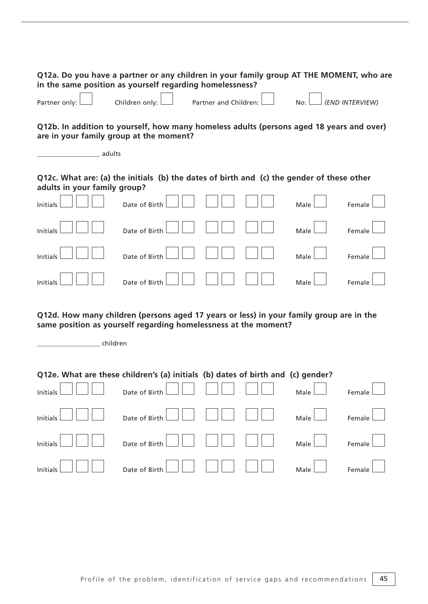| Q12a. Do you have a partner or any children in your family group AT THE MOMENT, who are<br>in the same position as yourself regarding homelessness?                    |                |                       |  |      |                 |
|------------------------------------------------------------------------------------------------------------------------------------------------------------------------|----------------|-----------------------|--|------|-----------------|
| Partner only:                                                                                                                                                          | Children only: | Partner and Children: |  | No:  | (END INTERVIEW) |
| Q12b. In addition to yourself, how many homeless adults (persons aged 18 years and over)<br>are in your family group at the moment?<br>_ adults                        |                |                       |  |      |                 |
| Q12c. What are: (a) the initials (b) the dates of birth and (c) the gender of these other<br>adults in your family group?                                              |                |                       |  |      |                 |
| Initials                                                                                                                                                               | Date of Birth  |                       |  | Male | Female          |
| Initials                                                                                                                                                               | Date of Birth  |                       |  | Male | Female          |
| Initials                                                                                                                                                               | Date of Birth  |                       |  | Male | Female          |
| Initials                                                                                                                                                               | Date of Birth  |                       |  | Male | Female          |
| Q12d. How many children (persons aged 17 years or less) in your family group are in the<br>same position as yourself regarding homelessness at the moment?<br>children |                |                       |  |      |                 |
| Q12e. What are these children's (a) initials (b) dates of birth and (c) gender?                                                                                        |                |                       |  |      |                 |
| Initials                                                                                                                                                               | Date of Birth  |                       |  | Male | Female          |
| Initials                                                                                                                                                               | Date of Birth  |                       |  | Male | Female          |
| Initials                                                                                                                                                               | Date of Birth  |                       |  | Male | Female          |
| Initials                                                                                                                                                               | Date of Birth  |                       |  | Male | Female          |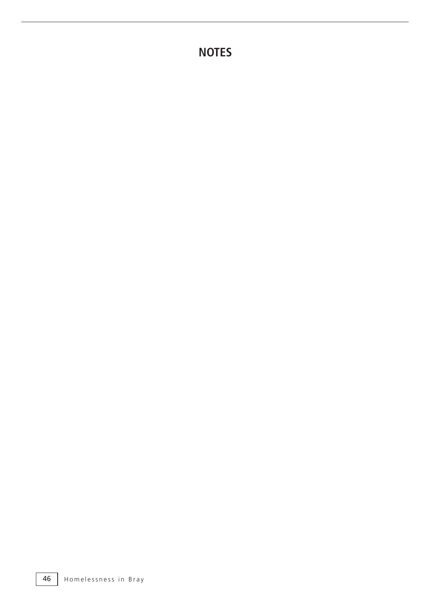**NOTES**